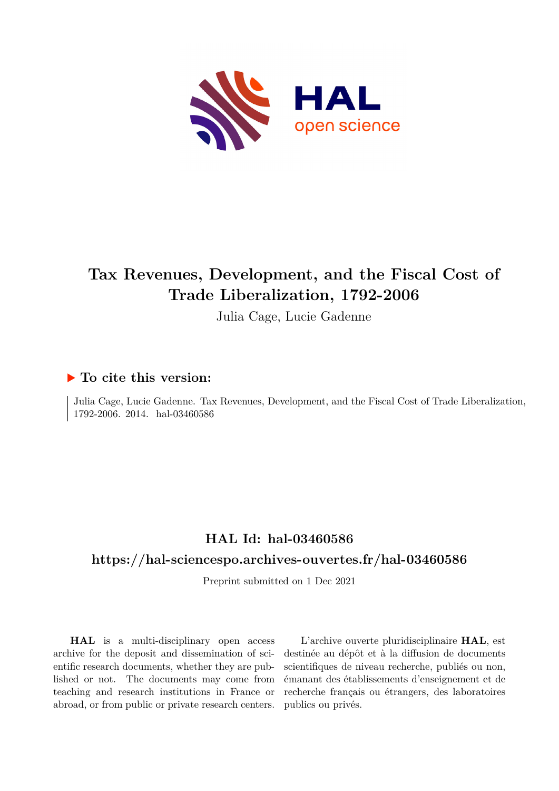

# **Tax Revenues, Development, and the Fiscal Cost of Trade Liberalization, 1792-2006**

Julia Cage, Lucie Gadenne

# **To cite this version:**

Julia Cage, Lucie Gadenne. Tax Revenues, Development, and the Fiscal Cost of Trade Liberalization, 1792-2006. 2014. hal-03460586

# **HAL Id: hal-03460586**

# **<https://hal-sciencespo.archives-ouvertes.fr/hal-03460586>**

Preprint submitted on 1 Dec 2021

**HAL** is a multi-disciplinary open access archive for the deposit and dissemination of scientific research documents, whether they are published or not. The documents may come from teaching and research institutions in France or abroad, or from public or private research centers.

L'archive ouverte pluridisciplinaire **HAL**, est destinée au dépôt et à la diffusion de documents scientifiques de niveau recherche, publiés ou non, émanant des établissements d'enseignement et de recherche français ou étrangers, des laboratoires publics ou privés.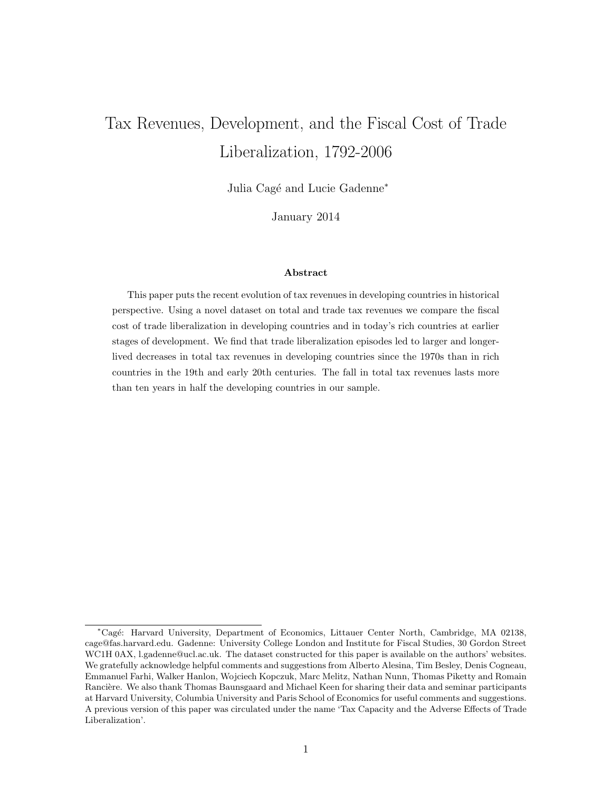# Tax Revenues, Development, and the Fiscal Cost of Trade Liberalization, 1792-2006

Julia Cagé and Lucie Gadenne<sup>∗</sup>

January 2014

#### Abstract

This paper puts the recent evolution of tax revenues in developing countries in historical perspective. Using a novel dataset on total and trade tax revenues we compare the fiscal cost of trade liberalization in developing countries and in today's rich countries at earlier stages of development. We find that trade liberalization episodes led to larger and longerlived decreases in total tax revenues in developing countries since the 1970s than in rich countries in the 19th and early 20th centuries. The fall in total tax revenues lasts more than ten years in half the developing countries in our sample.

<sup>∗</sup>Cag´e: Harvard University, Department of Economics, Littauer Center North, Cambridge, MA 02138, cage@fas.harvard.edu. Gadenne: University College London and Institute for Fiscal Studies, 30 Gordon Street WC1H 0AX, l.gadenne@ucl.ac.uk. The dataset constructed for this paper is available on the authors' websites. We gratefully acknowledge helpful comments and suggestions from Alberto Alesina, Tim Besley, Denis Cogneau, Emmanuel Farhi, Walker Hanlon, Wojciech Kopczuk, Marc Melitz, Nathan Nunn, Thomas Piketty and Romain Rancière. We also thank Thomas Baunsgaard and Michael Keen for sharing their data and seminar participants at Harvard University, Columbia University and Paris School of Economics for useful comments and suggestions. A previous version of this paper was circulated under the name 'Tax Capacity and the Adverse Effects of Trade Liberalization'.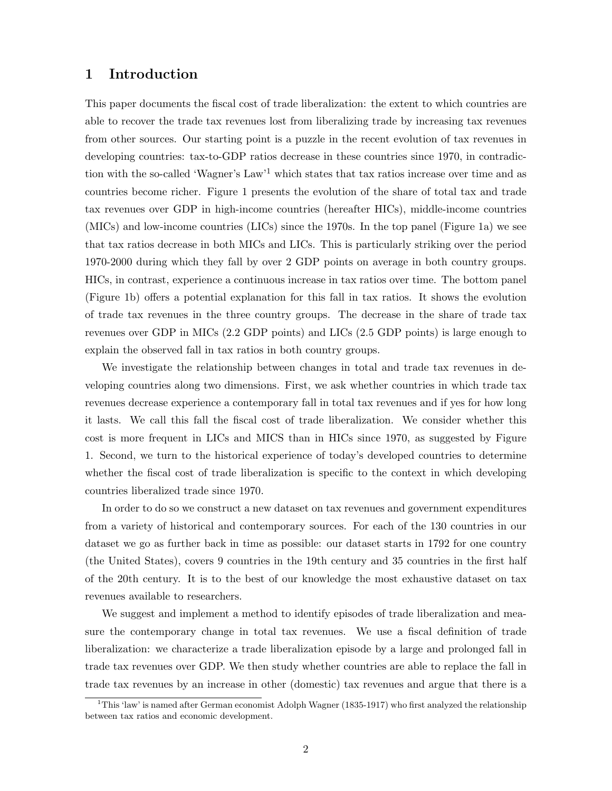### 1 Introduction

This paper documents the fiscal cost of trade liberalization: the extent to which countries are able to recover the trade tax revenues lost from liberalizing trade by increasing tax revenues from other sources. Our starting point is a puzzle in the recent evolution of tax revenues in developing countries: tax-to-GDP ratios decrease in these countries since 1970, in contradiction with the so-called 'Wagner's Law'<sup>1</sup> which states that tax ratios increase over time and as countries become richer. Figure 1 presents the evolution of the share of total tax and trade tax revenues over GDP in high-income countries (hereafter HICs), middle-income countries (MICs) and low-income countries (LICs) since the 1970s. In the top panel (Figure 1a) we see that tax ratios decrease in both MICs and LICs. This is particularly striking over the period 1970-2000 during which they fall by over 2 GDP points on average in both country groups. HICs, in contrast, experience a continuous increase in tax ratios over time. The bottom panel (Figure 1b) offers a potential explanation for this fall in tax ratios. It shows the evolution of trade tax revenues in the three country groups. The decrease in the share of trade tax revenues over GDP in MICs (2.2 GDP points) and LICs (2.5 GDP points) is large enough to explain the observed fall in tax ratios in both country groups.

We investigate the relationship between changes in total and trade tax revenues in developing countries along two dimensions. First, we ask whether countries in which trade tax revenues decrease experience a contemporary fall in total tax revenues and if yes for how long it lasts. We call this fall the fiscal cost of trade liberalization. We consider whether this cost is more frequent in LICs and MICS than in HICs since 1970, as suggested by Figure 1. Second, we turn to the historical experience of today's developed countries to determine whether the fiscal cost of trade liberalization is specific to the context in which developing countries liberalized trade since 1970.

In order to do so we construct a new dataset on tax revenues and government expenditures from a variety of historical and contemporary sources. For each of the 130 countries in our dataset we go as further back in time as possible: our dataset starts in 1792 for one country (the United States), covers 9 countries in the 19th century and 35 countries in the first half of the 20th century. It is to the best of our knowledge the most exhaustive dataset on tax revenues available to researchers.

We suggest and implement a method to identify episodes of trade liberalization and measure the contemporary change in total tax revenues. We use a fiscal definition of trade liberalization: we characterize a trade liberalization episode by a large and prolonged fall in trade tax revenues over GDP. We then study whether countries are able to replace the fall in trade tax revenues by an increase in other (domestic) tax revenues and argue that there is a

<sup>&</sup>lt;sup>1</sup>This 'law' is named after German economist Adolph Wagner (1835-1917) who first analyzed the relationship between tax ratios and economic development.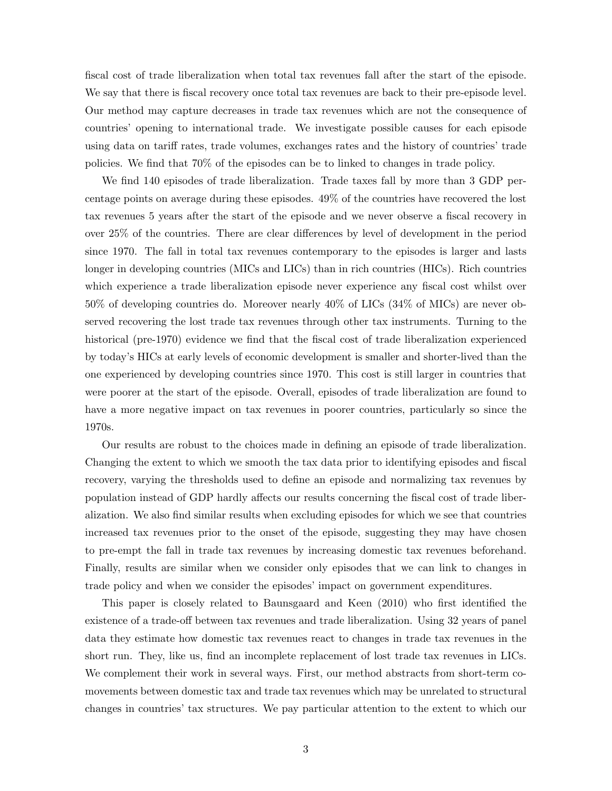fiscal cost of trade liberalization when total tax revenues fall after the start of the episode. We say that there is fiscal recovery once total tax revenues are back to their pre-episode level. Our method may capture decreases in trade tax revenues which are not the consequence of countries' opening to international trade. We investigate possible causes for each episode using data on tariff rates, trade volumes, exchanges rates and the history of countries' trade policies. We find that 70% of the episodes can be to linked to changes in trade policy.

We find 140 episodes of trade liberalization. Trade taxes fall by more than 3 GDP percentage points on average during these episodes. 49% of the countries have recovered the lost tax revenues 5 years after the start of the episode and we never observe a fiscal recovery in over 25% of the countries. There are clear differences by level of development in the period since 1970. The fall in total tax revenues contemporary to the episodes is larger and lasts longer in developing countries (MICs and LICs) than in rich countries (HICs). Rich countries which experience a trade liberalization episode never experience any fiscal cost whilst over 50% of developing countries do. Moreover nearly 40% of LICs (34% of MICs) are never observed recovering the lost trade tax revenues through other tax instruments. Turning to the historical (pre-1970) evidence we find that the fiscal cost of trade liberalization experienced by today's HICs at early levels of economic development is smaller and shorter-lived than the one experienced by developing countries since 1970. This cost is still larger in countries that were poorer at the start of the episode. Overall, episodes of trade liberalization are found to have a more negative impact on tax revenues in poorer countries, particularly so since the 1970s.

Our results are robust to the choices made in defining an episode of trade liberalization. Changing the extent to which we smooth the tax data prior to identifying episodes and fiscal recovery, varying the thresholds used to define an episode and normalizing tax revenues by population instead of GDP hardly affects our results concerning the fiscal cost of trade liberalization. We also find similar results when excluding episodes for which we see that countries increased tax revenues prior to the onset of the episode, suggesting they may have chosen to pre-empt the fall in trade tax revenues by increasing domestic tax revenues beforehand. Finally, results are similar when we consider only episodes that we can link to changes in trade policy and when we consider the episodes' impact on government expenditures.

This paper is closely related to Baunsgaard and Keen (2010) who first identified the existence of a trade-off between tax revenues and trade liberalization. Using 32 years of panel data they estimate how domestic tax revenues react to changes in trade tax revenues in the short run. They, like us, find an incomplete replacement of lost trade tax revenues in LICs. We complement their work in several ways. First, our method abstracts from short-term comovements between domestic tax and trade tax revenues which may be unrelated to structural changes in countries' tax structures. We pay particular attention to the extent to which our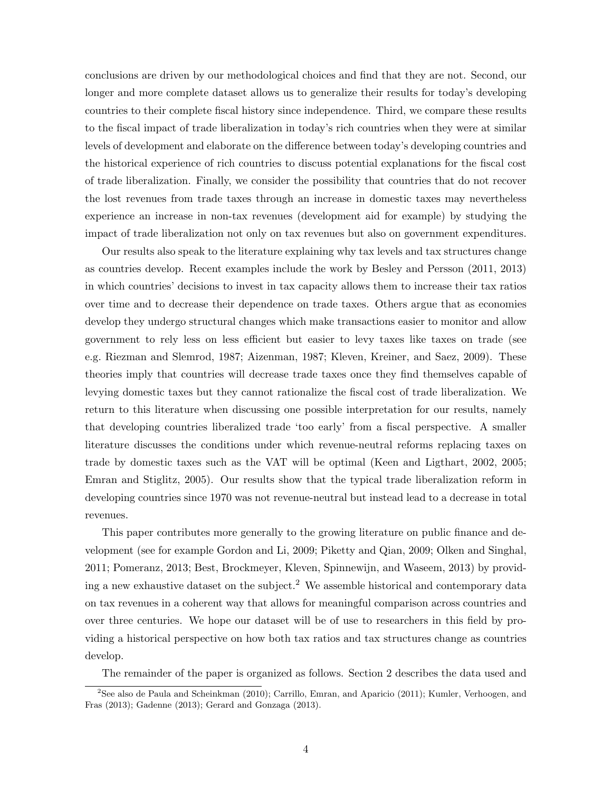conclusions are driven by our methodological choices and find that they are not. Second, our longer and more complete dataset allows us to generalize their results for today's developing countries to their complete fiscal history since independence. Third, we compare these results to the fiscal impact of trade liberalization in today's rich countries when they were at similar levels of development and elaborate on the difference between today's developing countries and the historical experience of rich countries to discuss potential explanations for the fiscal cost of trade liberalization. Finally, we consider the possibility that countries that do not recover the lost revenues from trade taxes through an increase in domestic taxes may nevertheless experience an increase in non-tax revenues (development aid for example) by studying the impact of trade liberalization not only on tax revenues but also on government expenditures.

Our results also speak to the literature explaining why tax levels and tax structures change as countries develop. Recent examples include the work by Besley and Persson (2011, 2013) in which countries' decisions to invest in tax capacity allows them to increase their tax ratios over time and to decrease their dependence on trade taxes. Others argue that as economies develop they undergo structural changes which make transactions easier to monitor and allow government to rely less on less efficient but easier to levy taxes like taxes on trade (see e.g. Riezman and Slemrod, 1987; Aizenman, 1987; Kleven, Kreiner, and Saez, 2009). These theories imply that countries will decrease trade taxes once they find themselves capable of levying domestic taxes but they cannot rationalize the fiscal cost of trade liberalization. We return to this literature when discussing one possible interpretation for our results, namely that developing countries liberalized trade 'too early' from a fiscal perspective. A smaller literature discusses the conditions under which revenue-neutral reforms replacing taxes on trade by domestic taxes such as the VAT will be optimal (Keen and Ligthart, 2002, 2005; Emran and Stiglitz, 2005). Our results show that the typical trade liberalization reform in developing countries since 1970 was not revenue-neutral but instead lead to a decrease in total revenues.

This paper contributes more generally to the growing literature on public finance and development (see for example Gordon and Li, 2009; Piketty and Qian, 2009; Olken and Singhal, 2011; Pomeranz, 2013; Best, Brockmeyer, Kleven, Spinnewijn, and Waseem, 2013) by providing a new exhaustive dataset on the subject.<sup>2</sup> We assemble historical and contemporary data on tax revenues in a coherent way that allows for meaningful comparison across countries and over three centuries. We hope our dataset will be of use to researchers in this field by providing a historical perspective on how both tax ratios and tax structures change as countries develop.

The remainder of the paper is organized as follows. Section 2 describes the data used and

<sup>&</sup>lt;sup>2</sup>See also de Paula and Scheinkman (2010); Carrillo, Emran, and Aparicio (2011); Kumler, Verhoogen, and Fras (2013); Gadenne (2013); Gerard and Gonzaga (2013).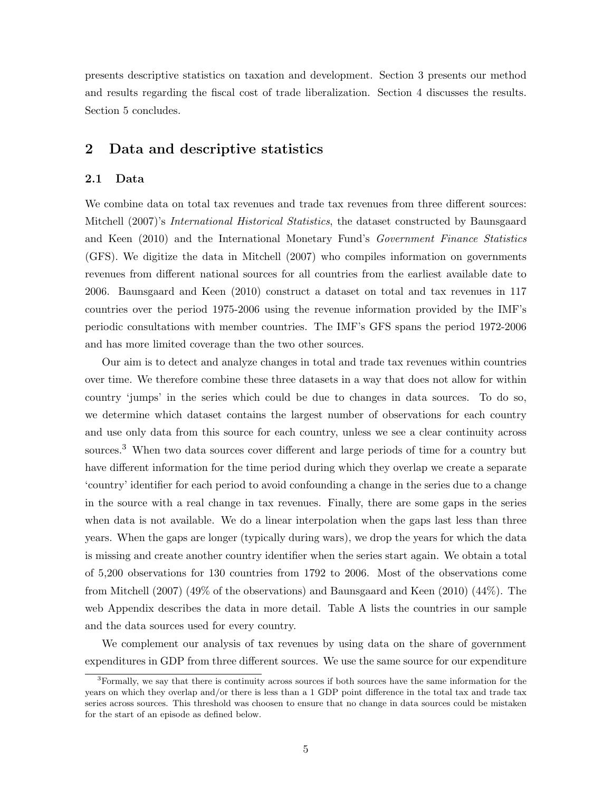presents descriptive statistics on taxation and development. Section 3 presents our method and results regarding the fiscal cost of trade liberalization. Section 4 discusses the results. Section 5 concludes.

## 2 Data and descriptive statistics

#### 2.1 Data

We combine data on total tax revenues and trade tax revenues from three different sources: Mitchell (2007)'s International Historical Statistics, the dataset constructed by Baunsgaard and Keen (2010) and the International Monetary Fund's Government Finance Statistics (GFS). We digitize the data in Mitchell (2007) who compiles information on governments revenues from different national sources for all countries from the earliest available date to 2006. Baunsgaard and Keen (2010) construct a dataset on total and tax revenues in 117 countries over the period 1975-2006 using the revenue information provided by the IMF's periodic consultations with member countries. The IMF's GFS spans the period 1972-2006 and has more limited coverage than the two other sources.

Our aim is to detect and analyze changes in total and trade tax revenues within countries over time. We therefore combine these three datasets in a way that does not allow for within country 'jumps' in the series which could be due to changes in data sources. To do so, we determine which dataset contains the largest number of observations for each country and use only data from this source for each country, unless we see a clear continuity across sources.<sup>3</sup> When two data sources cover different and large periods of time for a country but have different information for the time period during which they overlap we create a separate 'country' identifier for each period to avoid confounding a change in the series due to a change in the source with a real change in tax revenues. Finally, there are some gaps in the series when data is not available. We do a linear interpolation when the gaps last less than three years. When the gaps are longer (typically during wars), we drop the years for which the data is missing and create another country identifier when the series start again. We obtain a total of 5,200 observations for 130 countries from 1792 to 2006. Most of the observations come from Mitchell (2007) (49% of the observations) and Baunsgaard and Keen (2010) (44%). The web Appendix describes the data in more detail. Table A lists the countries in our sample and the data sources used for every country.

We complement our analysis of tax revenues by using data on the share of government expenditures in GDP from three different sources. We use the same source for our expenditure

<sup>&</sup>lt;sup>3</sup>Formally, we say that there is continuity across sources if both sources have the same information for the years on which they overlap and/or there is less than a 1 GDP point difference in the total tax and trade tax series across sources. This threshold was choosen to ensure that no change in data sources could be mistaken for the start of an episode as defined below.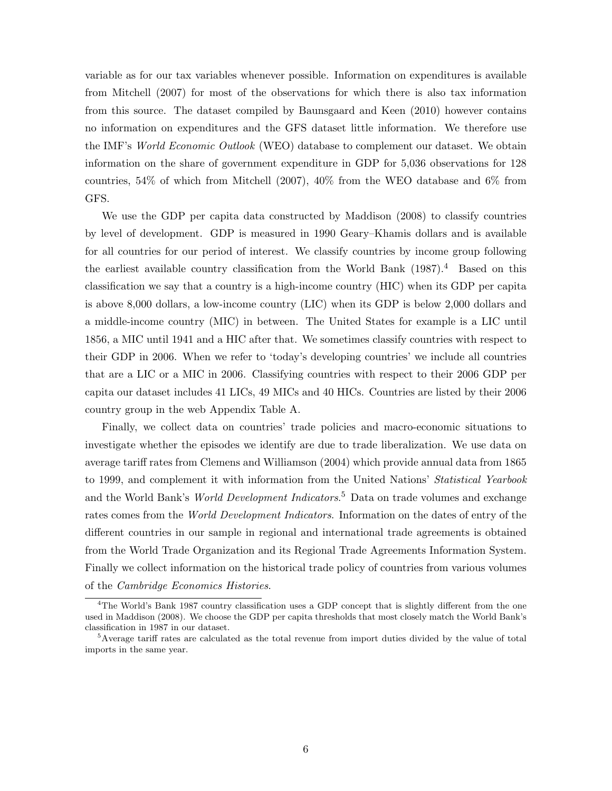variable as for our tax variables whenever possible. Information on expenditures is available from Mitchell (2007) for most of the observations for which there is also tax information from this source. The dataset compiled by Baunsgaard and Keen (2010) however contains no information on expenditures and the GFS dataset little information. We therefore use the IMF's World Economic Outlook (WEO) database to complement our dataset. We obtain information on the share of government expenditure in GDP for 5,036 observations for 128 countries, 54% of which from Mitchell (2007), 40% from the WEO database and 6% from GFS.

We use the GDP per capita data constructed by Maddison (2008) to classify countries by level of development. GDP is measured in 1990 Geary–Khamis dollars and is available for all countries for our period of interest. We classify countries by income group following the earliest available country classification from the World Bank  $(1987).<sup>4</sup>$  Based on this classification we say that a country is a high-income country (HIC) when its GDP per capita is above 8,000 dollars, a low-income country (LIC) when its GDP is below 2,000 dollars and a middle-income country (MIC) in between. The United States for example is a LIC until 1856, a MIC until 1941 and a HIC after that. We sometimes classify countries with respect to their GDP in 2006. When we refer to 'today's developing countries' we include all countries that are a LIC or a MIC in 2006. Classifying countries with respect to their 2006 GDP per capita our dataset includes 41 LICs, 49 MICs and 40 HICs. Countries are listed by their 2006 country group in the web Appendix Table A.

Finally, we collect data on countries' trade policies and macro-economic situations to investigate whether the episodes we identify are due to trade liberalization. We use data on average tariff rates from Clemens and Williamson (2004) which provide annual data from 1865 to 1999, and complement it with information from the United Nations' *Statistical Yearbook* and the World Bank's *World Development Indicators*.<sup>5</sup> Data on trade volumes and exchange rates comes from the World Development Indicators. Information on the dates of entry of the different countries in our sample in regional and international trade agreements is obtained from the World Trade Organization and its Regional Trade Agreements Information System. Finally we collect information on the historical trade policy of countries from various volumes of the Cambridge Economics Histories.

<sup>&</sup>lt;sup>4</sup>The World's Bank 1987 country classification uses a GDP concept that is slightly different from the one used in Maddison (2008). We choose the GDP per capita thresholds that most closely match the World Bank's classification in 1987 in our dataset.

<sup>5</sup>Average tariff rates are calculated as the total revenue from import duties divided by the value of total imports in the same year.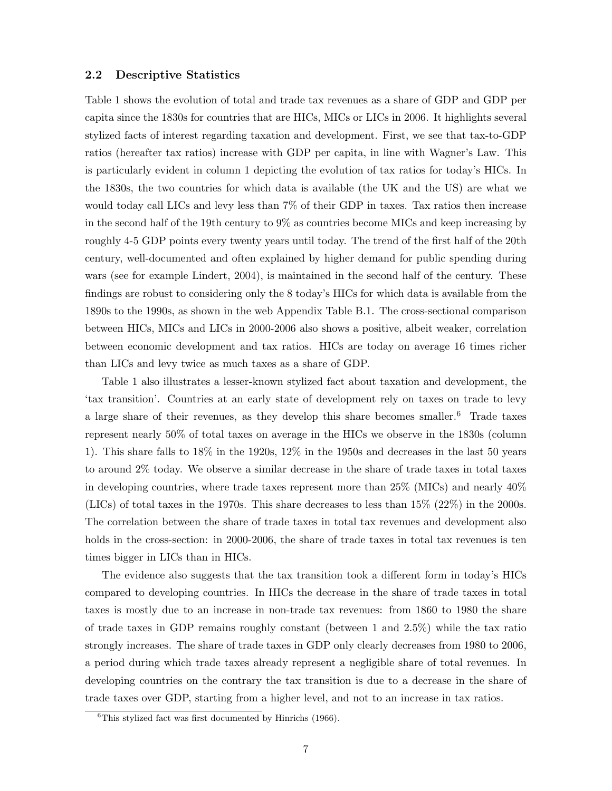#### 2.2 Descriptive Statistics

Table 1 shows the evolution of total and trade tax revenues as a share of GDP and GDP per capita since the 1830s for countries that are HICs, MICs or LICs in 2006. It highlights several stylized facts of interest regarding taxation and development. First, we see that tax-to-GDP ratios (hereafter tax ratios) increase with GDP per capita, in line with Wagner's Law. This is particularly evident in column 1 depicting the evolution of tax ratios for today's HICs. In the 1830s, the two countries for which data is available (the UK and the US) are what we would today call LICs and levy less than 7% of their GDP in taxes. Tax ratios then increase in the second half of the 19th century to 9% as countries become MICs and keep increasing by roughly 4-5 GDP points every twenty years until today. The trend of the first half of the 20th century, well-documented and often explained by higher demand for public spending during wars (see for example Lindert, 2004), is maintained in the second half of the century. These findings are robust to considering only the 8 today's HICs for which data is available from the 1890s to the 1990s, as shown in the web Appendix Table B.1. The cross-sectional comparison between HICs, MICs and LICs in 2000-2006 also shows a positive, albeit weaker, correlation between economic development and tax ratios. HICs are today on average 16 times richer than LICs and levy twice as much taxes as a share of GDP.

Table 1 also illustrates a lesser-known stylized fact about taxation and development, the 'tax transition'. Countries at an early state of development rely on taxes on trade to levy a large share of their revenues, as they develop this share becomes smaller.<sup>6</sup> Trade taxes represent nearly 50% of total taxes on average in the HICs we observe in the 1830s (column 1). This share falls to 18% in the 1920s, 12% in the 1950s and decreases in the last 50 years to around 2% today. We observe a similar decrease in the share of trade taxes in total taxes in developing countries, where trade taxes represent more than  $25\%$  (MICs) and nearly  $40\%$ (LICs) of total taxes in the 1970s. This share decreases to less than 15% (22%) in the 2000s. The correlation between the share of trade taxes in total tax revenues and development also holds in the cross-section: in 2000-2006, the share of trade taxes in total tax revenues is ten times bigger in LICs than in HICs.

The evidence also suggests that the tax transition took a different form in today's HICs compared to developing countries. In HICs the decrease in the share of trade taxes in total taxes is mostly due to an increase in non-trade tax revenues: from 1860 to 1980 the share of trade taxes in GDP remains roughly constant (between 1 and 2.5%) while the tax ratio strongly increases. The share of trade taxes in GDP only clearly decreases from 1980 to 2006, a period during which trade taxes already represent a negligible share of total revenues. In developing countries on the contrary the tax transition is due to a decrease in the share of trade taxes over GDP, starting from a higher level, and not to an increase in tax ratios.

 ${}^{6}$ This stylized fact was first documented by Hinrichs (1966).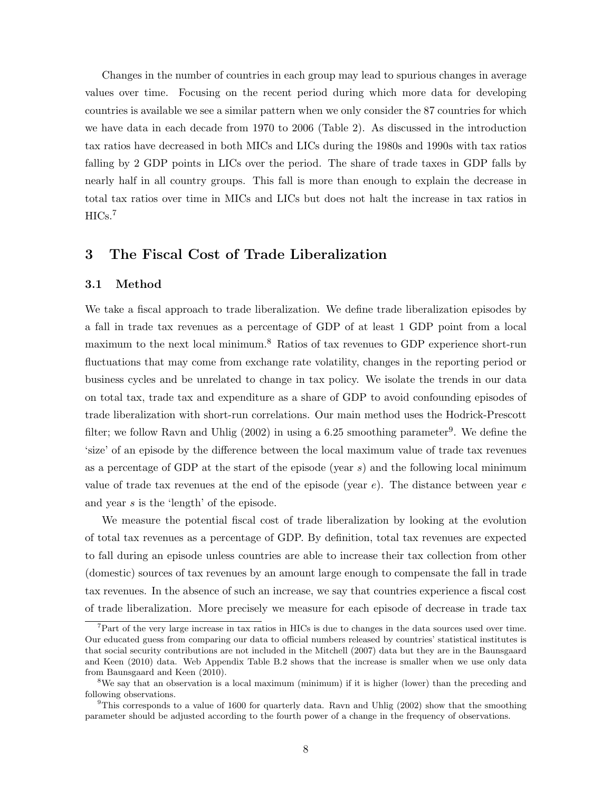Changes in the number of countries in each group may lead to spurious changes in average values over time. Focusing on the recent period during which more data for developing countries is available we see a similar pattern when we only consider the 87 countries for which we have data in each decade from 1970 to 2006 (Table 2). As discussed in the introduction tax ratios have decreased in both MICs and LICs during the 1980s and 1990s with tax ratios falling by 2 GDP points in LICs over the period. The share of trade taxes in GDP falls by nearly half in all country groups. This fall is more than enough to explain the decrease in total tax ratios over time in MICs and LICs but does not halt the increase in tax ratios in  $HICs.<sup>7</sup>$ 

# 3 The Fiscal Cost of Trade Liberalization

#### 3.1 Method

We take a fiscal approach to trade liberalization. We define trade liberalization episodes by a fall in trade tax revenues as a percentage of GDP of at least 1 GDP point from a local maximum to the next local minimum.<sup>8</sup> Ratios of tax revenues to GDP experience short-run fluctuations that may come from exchange rate volatility, changes in the reporting period or business cycles and be unrelated to change in tax policy. We isolate the trends in our data on total tax, trade tax and expenditure as a share of GDP to avoid confounding episodes of trade liberalization with short-run correlations. Our main method uses the Hodrick-Prescott filter; we follow Ravn and Uhlig  $(2002)$  in using a 6.25 smoothing parameter<sup>9</sup>. We define the 'size' of an episode by the difference between the local maximum value of trade tax revenues as a percentage of GDP at the start of the episode (year  $s$ ) and the following local minimum value of trade tax revenues at the end of the episode (year  $e$ ). The distance between year  $e$ and year s is the 'length' of the episode.

We measure the potential fiscal cost of trade liberalization by looking at the evolution of total tax revenues as a percentage of GDP. By definition, total tax revenues are expected to fall during an episode unless countries are able to increase their tax collection from other (domestic) sources of tax revenues by an amount large enough to compensate the fall in trade tax revenues. In the absence of such an increase, we say that countries experience a fiscal cost of trade liberalization. More precisely we measure for each episode of decrease in trade tax

 $7$ Part of the very large increase in tax ratios in HICs is due to changes in the data sources used over time. Our educated guess from comparing our data to official numbers released by countries' statistical institutes is that social security contributions are not included in the Mitchell (2007) data but they are in the Baunsgaard and Keen (2010) data. Web Appendix Table B.2 shows that the increase is smaller when we use only data from Baunsgaard and Keen (2010).

<sup>&</sup>lt;sup>8</sup>We say that an observation is a local maximum (minimum) if it is higher (lower) than the preceding and following observations.

 $9$ This corresponds to a value of 1600 for quarterly data. Ravn and Uhlig (2002) show that the smoothing parameter should be adjusted according to the fourth power of a change in the frequency of observations.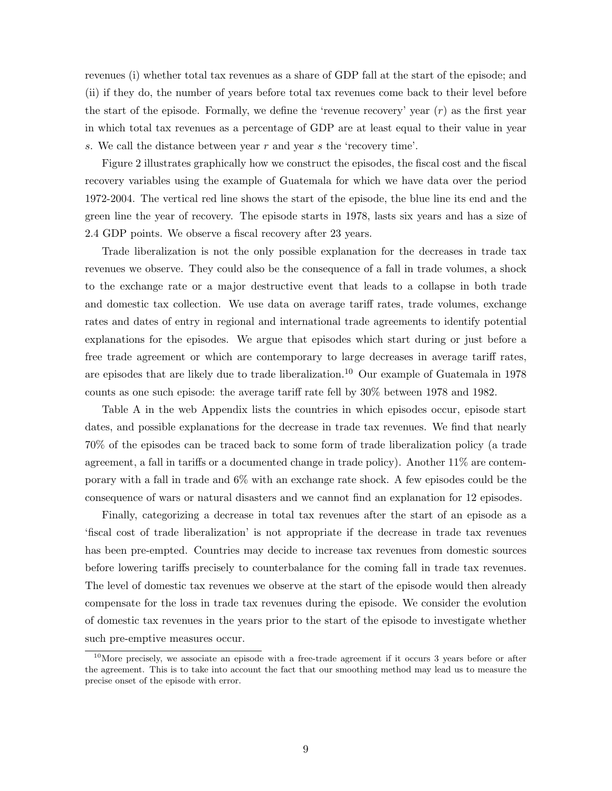revenues (i) whether total tax revenues as a share of GDP fall at the start of the episode; and (ii) if they do, the number of years before total tax revenues come back to their level before the start of the episode. Formally, we define the 'revenue recovery' year  $(r)$  as the first year in which total tax revenues as a percentage of GDP are at least equal to their value in year s. We call the distance between year r and year s the 'recovery time'.

Figure 2 illustrates graphically how we construct the episodes, the fiscal cost and the fiscal recovery variables using the example of Guatemala for which we have data over the period 1972-2004. The vertical red line shows the start of the episode, the blue line its end and the green line the year of recovery. The episode starts in 1978, lasts six years and has a size of 2.4 GDP points. We observe a fiscal recovery after 23 years.

Trade liberalization is not the only possible explanation for the decreases in trade tax revenues we observe. They could also be the consequence of a fall in trade volumes, a shock to the exchange rate or a major destructive event that leads to a collapse in both trade and domestic tax collection. We use data on average tariff rates, trade volumes, exchange rates and dates of entry in regional and international trade agreements to identify potential explanations for the episodes. We argue that episodes which start during or just before a free trade agreement or which are contemporary to large decreases in average tariff rates, are episodes that are likely due to trade liberalization.<sup>10</sup> Our example of Guatemala in 1978 counts as one such episode: the average tariff rate fell by 30% between 1978 and 1982.

Table A in the web Appendix lists the countries in which episodes occur, episode start dates, and possible explanations for the decrease in trade tax revenues. We find that nearly 70% of the episodes can be traced back to some form of trade liberalization policy (a trade agreement, a fall in tariffs or a documented change in trade policy). Another 11% are contemporary with a fall in trade and 6% with an exchange rate shock. A few episodes could be the consequence of wars or natural disasters and we cannot find an explanation for 12 episodes.

Finally, categorizing a decrease in total tax revenues after the start of an episode as a 'fiscal cost of trade liberalization' is not appropriate if the decrease in trade tax revenues has been pre-empted. Countries may decide to increase tax revenues from domestic sources before lowering tariffs precisely to counterbalance for the coming fall in trade tax revenues. The level of domestic tax revenues we observe at the start of the episode would then already compensate for the loss in trade tax revenues during the episode. We consider the evolution of domestic tax revenues in the years prior to the start of the episode to investigate whether such pre-emptive measures occur.

<sup>&</sup>lt;sup>10</sup>More precisely, we associate an episode with a free-trade agreement if it occurs 3 years before or after the agreement. This is to take into account the fact that our smoothing method may lead us to measure the precise onset of the episode with error.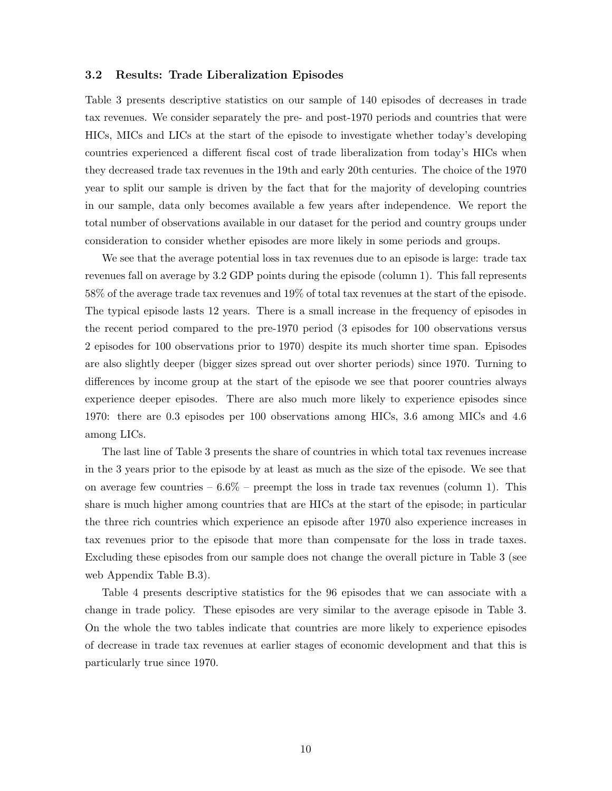#### 3.2 Results: Trade Liberalization Episodes

Table 3 presents descriptive statistics on our sample of 140 episodes of decreases in trade tax revenues. We consider separately the pre- and post-1970 periods and countries that were HICs, MICs and LICs at the start of the episode to investigate whether today's developing countries experienced a different fiscal cost of trade liberalization from today's HICs when they decreased trade tax revenues in the 19th and early 20th centuries. The choice of the 1970 year to split our sample is driven by the fact that for the majority of developing countries in our sample, data only becomes available a few years after independence. We report the total number of observations available in our dataset for the period and country groups under consideration to consider whether episodes are more likely in some periods and groups.

We see that the average potential loss in tax revenues due to an episode is large: trade tax revenues fall on average by 3.2 GDP points during the episode (column 1). This fall represents 58% of the average trade tax revenues and 19% of total tax revenues at the start of the episode. The typical episode lasts 12 years. There is a small increase in the frequency of episodes in the recent period compared to the pre-1970 period (3 episodes for 100 observations versus 2 episodes for 100 observations prior to 1970) despite its much shorter time span. Episodes are also slightly deeper (bigger sizes spread out over shorter periods) since 1970. Turning to differences by income group at the start of the episode we see that poorer countries always experience deeper episodes. There are also much more likely to experience episodes since 1970: there are 0.3 episodes per 100 observations among HICs, 3.6 among MICs and 4.6 among LICs.

The last line of Table 3 presents the share of countries in which total tax revenues increase in the 3 years prior to the episode by at least as much as the size of the episode. We see that on average few countries  $-6.6\%$  – preempt the loss in trade tax revenues (column 1). This share is much higher among countries that are HICs at the start of the episode; in particular the three rich countries which experience an episode after 1970 also experience increases in tax revenues prior to the episode that more than compensate for the loss in trade taxes. Excluding these episodes from our sample does not change the overall picture in Table 3 (see web Appendix Table B.3).

Table 4 presents descriptive statistics for the 96 episodes that we can associate with a change in trade policy. These episodes are very similar to the average episode in Table 3. On the whole the two tables indicate that countries are more likely to experience episodes of decrease in trade tax revenues at earlier stages of economic development and that this is particularly true since 1970.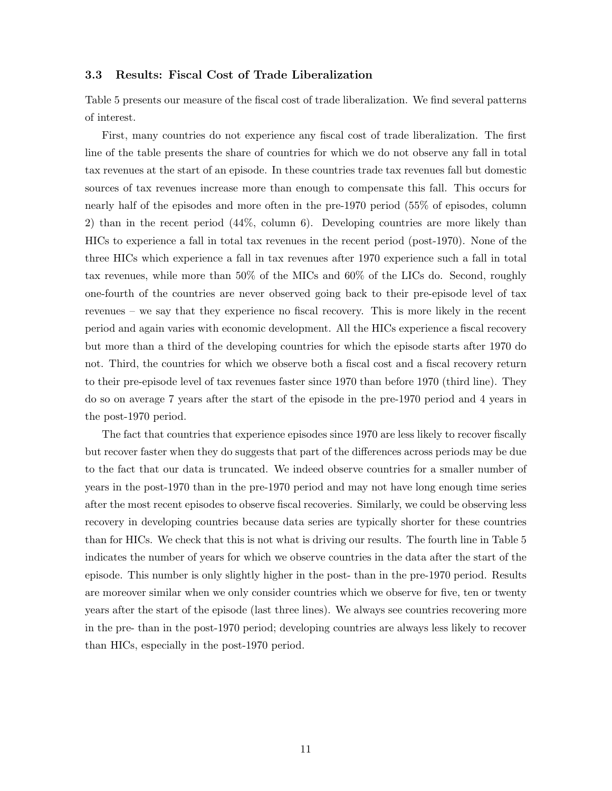#### 3.3 Results: Fiscal Cost of Trade Liberalization

Table 5 presents our measure of the fiscal cost of trade liberalization. We find several patterns of interest.

First, many countries do not experience any fiscal cost of trade liberalization. The first line of the table presents the share of countries for which we do not observe any fall in total tax revenues at the start of an episode. In these countries trade tax revenues fall but domestic sources of tax revenues increase more than enough to compensate this fall. This occurs for nearly half of the episodes and more often in the pre-1970 period (55% of episodes, column 2) than in the recent period (44%, column 6). Developing countries are more likely than HICs to experience a fall in total tax revenues in the recent period (post-1970). None of the three HICs which experience a fall in tax revenues after 1970 experience such a fall in total tax revenues, while more than 50% of the MICs and 60% of the LICs do. Second, roughly one-fourth of the countries are never observed going back to their pre-episode level of tax revenues – we say that they experience no fiscal recovery. This is more likely in the recent period and again varies with economic development. All the HICs experience a fiscal recovery but more than a third of the developing countries for which the episode starts after 1970 do not. Third, the countries for which we observe both a fiscal cost and a fiscal recovery return to their pre-episode level of tax revenues faster since 1970 than before 1970 (third line). They do so on average 7 years after the start of the episode in the pre-1970 period and 4 years in the post-1970 period.

The fact that countries that experience episodes since 1970 are less likely to recover fiscally but recover faster when they do suggests that part of the differences across periods may be due to the fact that our data is truncated. We indeed observe countries for a smaller number of years in the post-1970 than in the pre-1970 period and may not have long enough time series after the most recent episodes to observe fiscal recoveries. Similarly, we could be observing less recovery in developing countries because data series are typically shorter for these countries than for HICs. We check that this is not what is driving our results. The fourth line in Table 5 indicates the number of years for which we observe countries in the data after the start of the episode. This number is only slightly higher in the post- than in the pre-1970 period. Results are moreover similar when we only consider countries which we observe for five, ten or twenty years after the start of the episode (last three lines). We always see countries recovering more in the pre- than in the post-1970 period; developing countries are always less likely to recover than HICs, especially in the post-1970 period.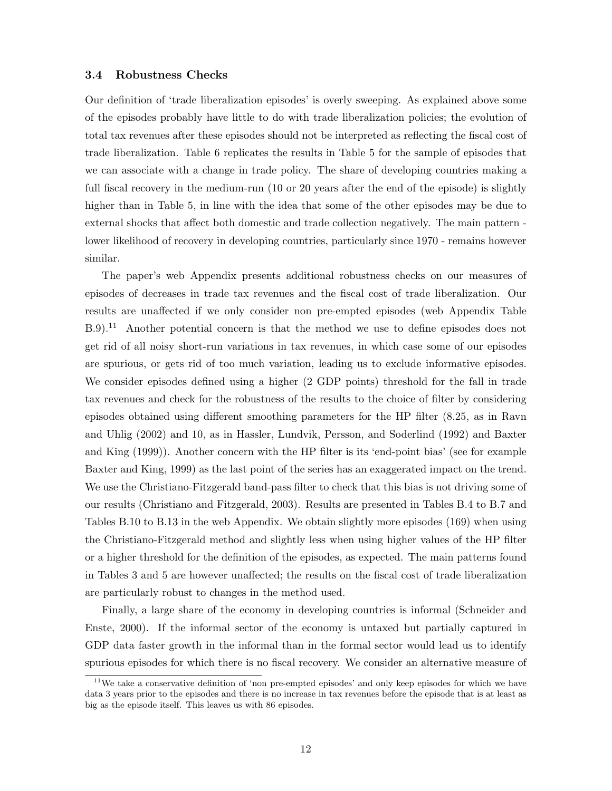#### 3.4 Robustness Checks

Our definition of 'trade liberalization episodes' is overly sweeping. As explained above some of the episodes probably have little to do with trade liberalization policies; the evolution of total tax revenues after these episodes should not be interpreted as reflecting the fiscal cost of trade liberalization. Table 6 replicates the results in Table 5 for the sample of episodes that we can associate with a change in trade policy. The share of developing countries making a full fiscal recovery in the medium-run (10 or 20 years after the end of the episode) is slightly higher than in Table 5, in line with the idea that some of the other episodes may be due to external shocks that affect both domestic and trade collection negatively. The main pattern lower likelihood of recovery in developing countries, particularly since 1970 - remains however similar.

The paper's web Appendix presents additional robustness checks on our measures of episodes of decreases in trade tax revenues and the fiscal cost of trade liberalization. Our results are unaffected if we only consider non pre-empted episodes (web Appendix Table B.9).<sup>11</sup> Another potential concern is that the method we use to define episodes does not get rid of all noisy short-run variations in tax revenues, in which case some of our episodes are spurious, or gets rid of too much variation, leading us to exclude informative episodes. We consider episodes defined using a higher (2 GDP points) threshold for the fall in trade tax revenues and check for the robustness of the results to the choice of filter by considering episodes obtained using different smoothing parameters for the HP filter (8.25, as in Ravn and Uhlig (2002) and 10, as in Hassler, Lundvik, Persson, and Soderlind (1992) and Baxter and King (1999)). Another concern with the HP filter is its 'end-point bias' (see for example Baxter and King, 1999) as the last point of the series has an exaggerated impact on the trend. We use the Christiano-Fitzgerald band-pass filter to check that this bias is not driving some of our results (Christiano and Fitzgerald, 2003). Results are presented in Tables B.4 to B.7 and Tables B.10 to B.13 in the web Appendix. We obtain slightly more episodes (169) when using the Christiano-Fitzgerald method and slightly less when using higher values of the HP filter or a higher threshold for the definition of the episodes, as expected. The main patterns found in Tables 3 and 5 are however unaffected; the results on the fiscal cost of trade liberalization are particularly robust to changes in the method used.

Finally, a large share of the economy in developing countries is informal (Schneider and Enste, 2000). If the informal sector of the economy is untaxed but partially captured in GDP data faster growth in the informal than in the formal sector would lead us to identify spurious episodes for which there is no fiscal recovery. We consider an alternative measure of

<sup>&</sup>lt;sup>11</sup>We take a conservative definition of 'non pre-empted episodes' and only keep episodes for which we have data 3 years prior to the episodes and there is no increase in tax revenues before the episode that is at least as big as the episode itself. This leaves us with 86 episodes.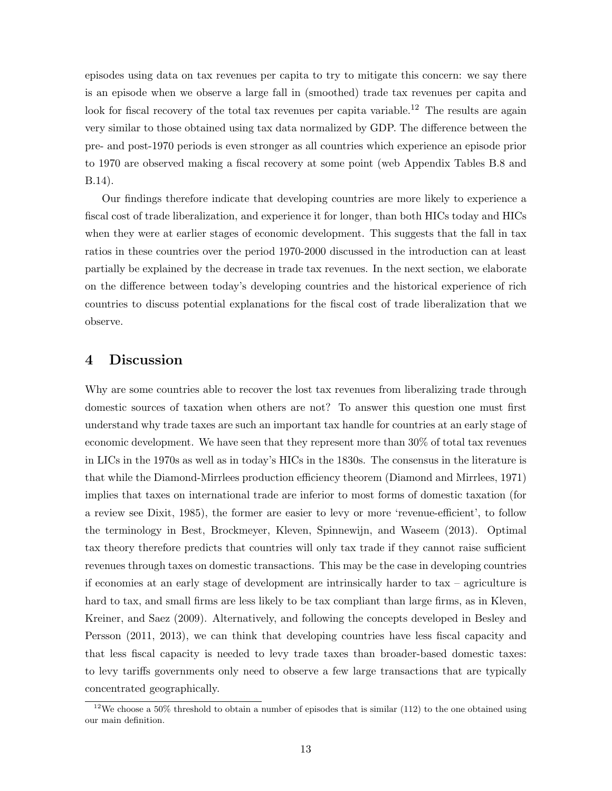episodes using data on tax revenues per capita to try to mitigate this concern: we say there is an episode when we observe a large fall in (smoothed) trade tax revenues per capita and look for fiscal recovery of the total tax revenues per capita variable.<sup>12</sup> The results are again very similar to those obtained using tax data normalized by GDP. The difference between the pre- and post-1970 periods is even stronger as all countries which experience an episode prior to 1970 are observed making a fiscal recovery at some point (web Appendix Tables B.8 and B.14).

Our findings therefore indicate that developing countries are more likely to experience a fiscal cost of trade liberalization, and experience it for longer, than both HICs today and HICs when they were at earlier stages of economic development. This suggests that the fall in tax ratios in these countries over the period 1970-2000 discussed in the introduction can at least partially be explained by the decrease in trade tax revenues. In the next section, we elaborate on the difference between today's developing countries and the historical experience of rich countries to discuss potential explanations for the fiscal cost of trade liberalization that we observe.

## 4 Discussion

Why are some countries able to recover the lost tax revenues from liberalizing trade through domestic sources of taxation when others are not? To answer this question one must first understand why trade taxes are such an important tax handle for countries at an early stage of economic development. We have seen that they represent more than 30% of total tax revenues in LICs in the 1970s as well as in today's HICs in the 1830s. The consensus in the literature is that while the Diamond-Mirrlees production efficiency theorem (Diamond and Mirrlees, 1971) implies that taxes on international trade are inferior to most forms of domestic taxation (for a review see Dixit, 1985), the former are easier to levy or more 'revenue-efficient', to follow the terminology in Best, Brockmeyer, Kleven, Spinnewijn, and Waseem (2013). Optimal tax theory therefore predicts that countries will only tax trade if they cannot raise sufficient revenues through taxes on domestic transactions. This may be the case in developing countries if economies at an early stage of development are intrinsically harder to tax – agriculture is hard to tax, and small firms are less likely to be tax compliant than large firms, as in Kleven, Kreiner, and Saez (2009). Alternatively, and following the concepts developed in Besley and Persson (2011, 2013), we can think that developing countries have less fiscal capacity and that less fiscal capacity is needed to levy trade taxes than broader-based domestic taxes: to levy tariffs governments only need to observe a few large transactions that are typically concentrated geographically.

 $12$ We choose a 50% threshold to obtain a number of episodes that is similar (112) to the one obtained using our main definition.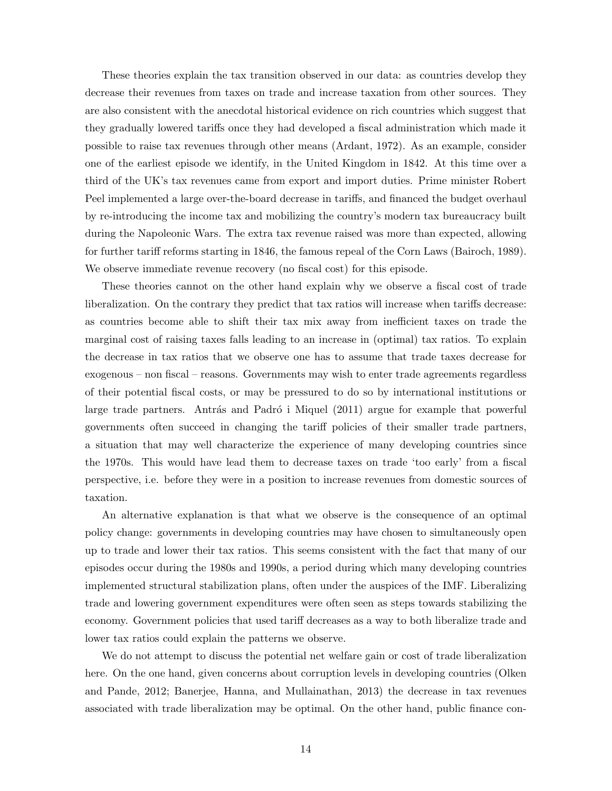These theories explain the tax transition observed in our data: as countries develop they decrease their revenues from taxes on trade and increase taxation from other sources. They are also consistent with the anecdotal historical evidence on rich countries which suggest that they gradually lowered tariffs once they had developed a fiscal administration which made it possible to raise tax revenues through other means (Ardant, 1972). As an example, consider one of the earliest episode we identify, in the United Kingdom in 1842. At this time over a third of the UK's tax revenues came from export and import duties. Prime minister Robert Peel implemented a large over-the-board decrease in tariffs, and financed the budget overhaul by re-introducing the income tax and mobilizing the country's modern tax bureaucracy built during the Napoleonic Wars. The extra tax revenue raised was more than expected, allowing for further tariff reforms starting in 1846, the famous repeal of the Corn Laws (Bairoch, 1989). We observe immediate revenue recovery (no fiscal cost) for this episode.

These theories cannot on the other hand explain why we observe a fiscal cost of trade liberalization. On the contrary they predict that tax ratios will increase when tariffs decrease: as countries become able to shift their tax mix away from inefficient taxes on trade the marginal cost of raising taxes falls leading to an increase in (optimal) tax ratios. To explain the decrease in tax ratios that we observe one has to assume that trade taxes decrease for exogenous – non fiscal – reasons. Governments may wish to enter trade agreements regardless of their potential fiscal costs, or may be pressured to do so by international institutions or large trade partners. Antrás and Padró i Miquel (2011) argue for example that powerful governments often succeed in changing the tariff policies of their smaller trade partners, a situation that may well characterize the experience of many developing countries since the 1970s. This would have lead them to decrease taxes on trade 'too early' from a fiscal perspective, i.e. before they were in a position to increase revenues from domestic sources of taxation.

An alternative explanation is that what we observe is the consequence of an optimal policy change: governments in developing countries may have chosen to simultaneously open up to trade and lower their tax ratios. This seems consistent with the fact that many of our episodes occur during the 1980s and 1990s, a period during which many developing countries implemented structural stabilization plans, often under the auspices of the IMF. Liberalizing trade and lowering government expenditures were often seen as steps towards stabilizing the economy. Government policies that used tariff decreases as a way to both liberalize trade and lower tax ratios could explain the patterns we observe.

We do not attempt to discuss the potential net welfare gain or cost of trade liberalization here. On the one hand, given concerns about corruption levels in developing countries (Olken and Pande, 2012; Banerjee, Hanna, and Mullainathan, 2013) the decrease in tax revenues associated with trade liberalization may be optimal. On the other hand, public finance con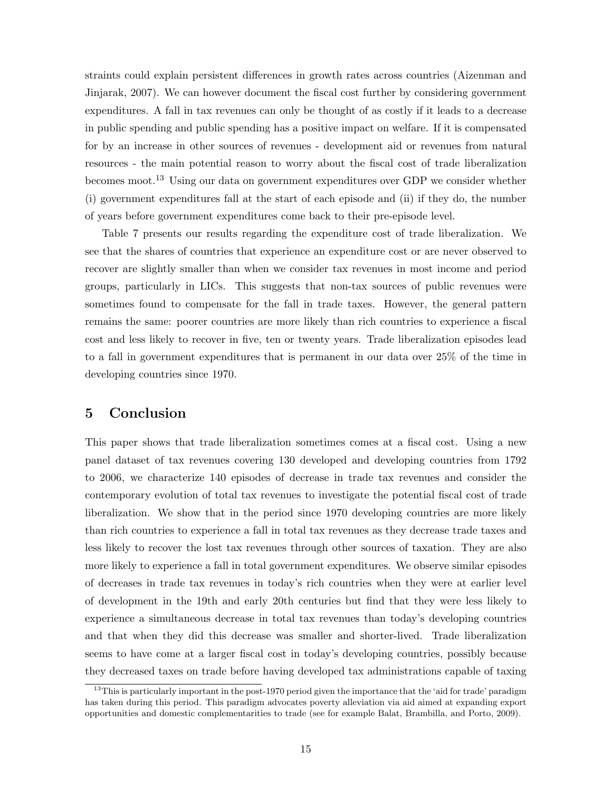straints could explain persistent differences in growth rates across countries (Aizenman and Jinjarak, 2007). We can however document the fiscal cost further by considering government expenditures. A fall in tax revenues can only be thought of as costly if it leads to a decrease in public spending and public spending has a positive impact on welfare. If it is compensated for by an increase in other sources of revenues - development aid or revenues from natural resources - the main potential reason to worry about the fiscal cost of trade liberalization becomes moot.<sup>13</sup> Using our data on government expenditures over GDP we consider whether (i) government expenditures fall at the start of each episode and (ii) if they do, the number of years before government expenditures come back to their pre-episode level.

Table 7 presents our results regarding the expenditure cost of trade liberalization. We see that the shares of countries that experience an expenditure cost or are never observed to recover are slightly smaller than when we consider tax revenues in most income and period groups, particularly in LICs. This suggests that non-tax sources of public revenues were sometimes found to compensate for the fall in trade taxes. However, the general pattern remains the same: poorer countries are more likely than rich countries to experience a fiscal cost and less likely to recover in five, ten or twenty years. Trade liberalization episodes lead to a fall in government expenditures that is permanent in our data over 25% of the time in developing countries since 1970.

# 5 Conclusion

This paper shows that trade liberalization sometimes comes at a fiscal cost. Using a new panel dataset of tax revenues covering 130 developed and developing countries from 1792 to 2006, we characterize 140 episodes of decrease in trade tax revenues and consider the contemporary evolution of total tax revenues to investigate the potential fiscal cost of trade liberalization. We show that in the period since 1970 developing countries are more likely than rich countries to experience a fall in total tax revenues as they decrease trade taxes and less likely to recover the lost tax revenues through other sources of taxation. They are also more likely to experience a fall in total government expenditures. We observe similar episodes of decreases in trade tax revenues in today's rich countries when they were at earlier level of development in the 19th and early 20th centuries but find that they were less likely to experience a simultaneous decrease in total tax revenues than today's developing countries and that when they did this decrease was smaller and shorter-lived. Trade liberalization seems to have come at a larger fiscal cost in today's developing countries, possibly because they decreased taxes on trade before having developed tax administrations capable of taxing

<sup>&</sup>lt;sup>13</sup>This is particularly important in the post-1970 period given the importance that the 'aid for trade' paradigm has taken during this period. This paradigm advocates poverty alleviation via aid aimed at expanding export opportunities and domestic complementarities to trade (see for example Balat, Brambilla, and Porto, 2009).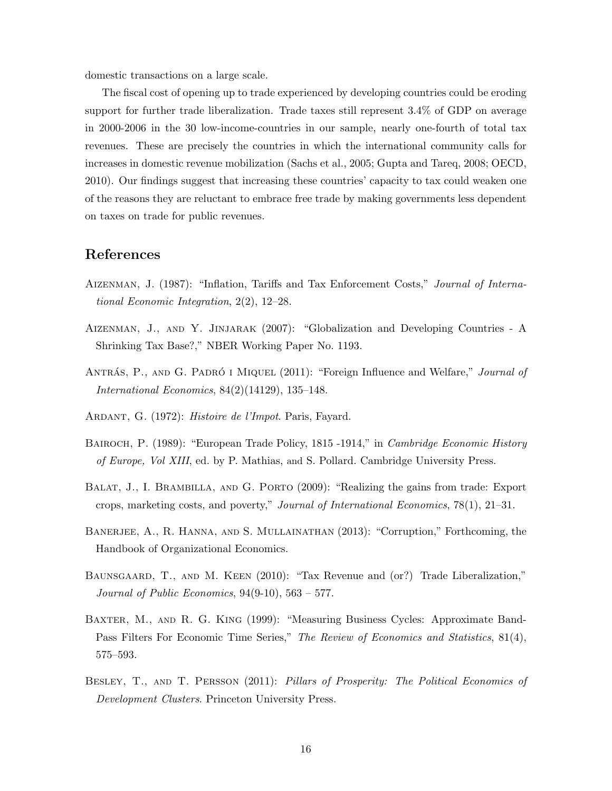domestic transactions on a large scale.

The fiscal cost of opening up to trade experienced by developing countries could be eroding support for further trade liberalization. Trade taxes still represent 3.4% of GDP on average in 2000-2006 in the 30 low-income-countries in our sample, nearly one-fourth of total tax revenues. These are precisely the countries in which the international community calls for increases in domestic revenue mobilization (Sachs et al., 2005; Gupta and Tareq, 2008; OECD, 2010). Our findings suggest that increasing these countries' capacity to tax could weaken one of the reasons they are reluctant to embrace free trade by making governments less dependent on taxes on trade for public revenues.

### References

- Aizenman, J. (1987): "Inflation, Tariffs and Tax Enforcement Costs," Journal of International Economic Integration, 2(2), 12–28.
- Aizenman, J., and Y. Jinjarak (2007): "Globalization and Developing Countries A Shrinking Tax Base?," NBER Working Paper No. 1193.
- ANTRÁS, P., AND G. PADRÓ I MIQUEL (2011): "Foreign Influence and Welfare," Journal of International Economics, 84(2)(14129), 135–148.
- ARDANT, G. (1972): Histoire de l'Impot. Paris, Fayard.
- BAIROCH, P. (1989): "European Trade Policy, 1815 -1914," in *Cambridge Economic History* of Europe, Vol XIII, ed. by P. Mathias, and S. Pollard. Cambridge University Press.
- BALAT, J., I. BRAMBILLA, AND G. PORTO (2009): "Realizing the gains from trade: Export crops, marketing costs, and poverty," Journal of International Economics, 78(1), 21–31.
- BANERJEE, A., R. HANNA, AND S. MULLAINATHAN (2013): "Corruption," Forthcoming, the Handbook of Organizational Economics.
- BAUNSGAARD, T., AND M. KEEN (2010): "Tax Revenue and (or?) Trade Liberalization," Journal of Public Economics,  $94(9-10)$ ,  $563-577$ .
- Baxter, M., and R. G. King (1999): "Measuring Business Cycles: Approximate Band-Pass Filters For Economic Time Series," The Review of Economics and Statistics, 81(4), 575–593.
- Besley, T., and T. Persson (2011): Pillars of Prosperity: The Political Economics of Development Clusters. Princeton University Press.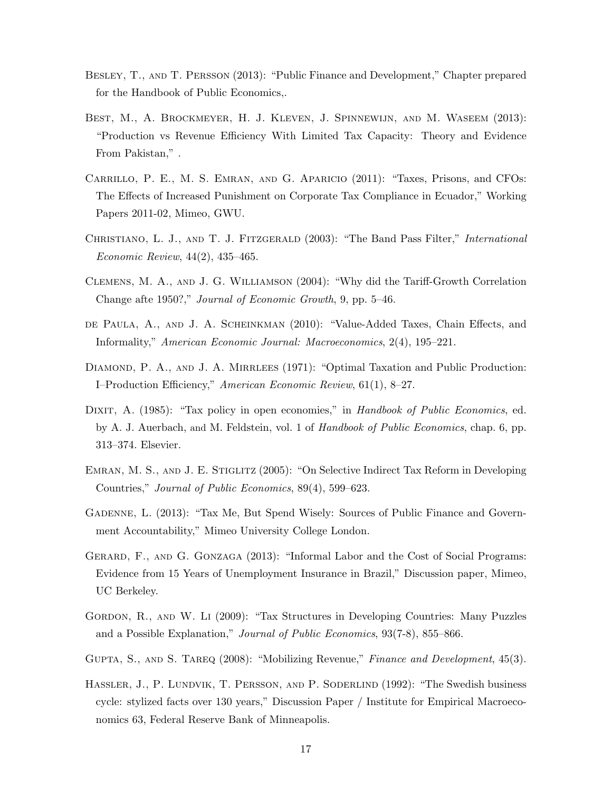- Besley, T., and T. Persson (2013): "Public Finance and Development," Chapter prepared for the Handbook of Public Economics,.
- BEST, M., A. BROCKMEYER, H. J. KLEVEN, J. SPINNEWIJN, AND M. WASEEM (2013): "Production vs Revenue Efficiency With Limited Tax Capacity: Theory and Evidence From Pakistan," .
- Carrillo, P. E., M. S. Emran, and G. Aparicio (2011): "Taxes, Prisons, and CFOs: The Effects of Increased Punishment on Corporate Tax Compliance in Ecuador," Working Papers 2011-02, Mimeo, GWU.
- CHRISTIANO, L. J., AND T. J. FITZGERALD (2003): "The Band Pass Filter," *International* Economic Review, 44(2), 435–465.
- Clemens, M. A., and J. G. Williamson (2004): "Why did the Tariff-Growth Correlation Change afte 1950?," Journal of Economic Growth, 9, pp. 5–46.
- de Paula, A., and J. A. Scheinkman (2010): "Value-Added Taxes, Chain Effects, and Informality," American Economic Journal: Macroeconomics, 2(4), 195–221.
- DIAMOND, P. A., AND J. A. MIRRLEES (1971): "Optimal Taxation and Public Production: I–Production Efficiency," American Economic Review, 61(1), 8–27.
- DIXIT, A. (1985): "Tax policy in open economies," in Handbook of Public Economics, ed. by A. J. Auerbach, and M. Feldstein, vol. 1 of Handbook of Public Economics, chap. 6, pp. 313–374. Elsevier.
- EMRAN, M. S., AND J. E. STIGLITZ (2005): "On Selective Indirect Tax Reform in Developing Countries," Journal of Public Economics, 89(4), 599–623.
- Gadenne, L. (2013): "Tax Me, But Spend Wisely: Sources of Public Finance and Government Accountability," Mimeo University College London.
- GERARD, F., AND G. GONZAGA (2013): "Informal Labor and the Cost of Social Programs: Evidence from 15 Years of Unemployment Insurance in Brazil," Discussion paper, Mimeo, UC Berkeley.
- Gordon, R., and W. Li (2009): "Tax Structures in Developing Countries: Many Puzzles and a Possible Explanation," Journal of Public Economics, 93(7-8), 855–866.
- GUPTA, S., AND S. TAREQ (2008): "Mobilizing Revenue," Finance and Development, 45(3).
- HASSLER, J., P. LUNDVIK, T. PERSSON, AND P. SODERLIND (1992): "The Swedish business cycle: stylized facts over 130 years," Discussion Paper / Institute for Empirical Macroeconomics 63, Federal Reserve Bank of Minneapolis.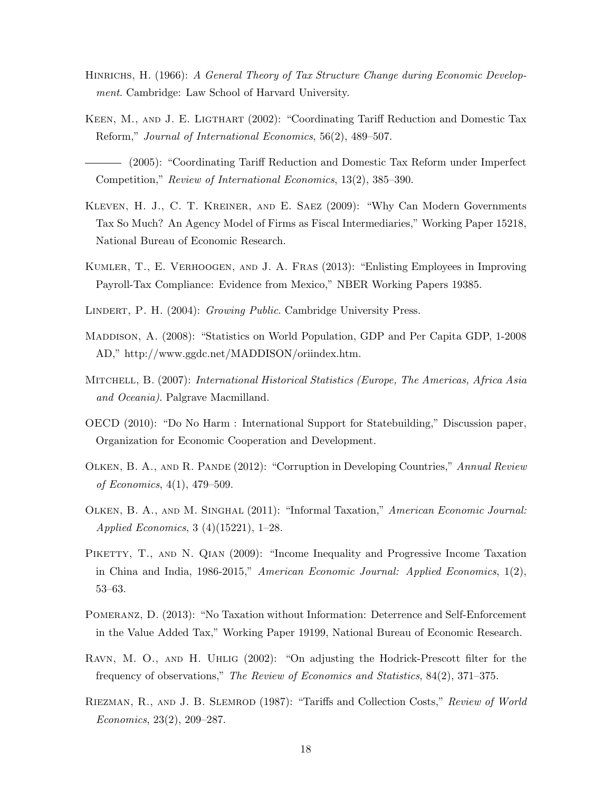- HINRICHS, H. (1966): A General Theory of Tax Structure Change during Economic Development. Cambridge: Law School of Harvard University.
- KEEN, M., AND J. E. LIGTHART (2002): "Coordinating Tariff Reduction and Domestic Tax Reform," Journal of International Economics, 56(2), 489–507.
- (2005): "Coordinating Tariff Reduction and Domestic Tax Reform under Imperfect Competition," Review of International Economics, 13(2), 385–390.
- Kleven, H. J., C. T. Kreiner, and E. Saez (2009): "Why Can Modern Governments Tax So Much? An Agency Model of Firms as Fiscal Intermediaries," Working Paper 15218, National Bureau of Economic Research.
- Kumler, T., E. Verhoogen, and J. A. Fras (2013): "Enlisting Employees in Improving Payroll-Tax Compliance: Evidence from Mexico," NBER Working Papers 19385.
- LINDERT, P. H. (2004): Growing Public. Cambridge University Press.
- Maddison, A. (2008): "Statistics on World Population, GDP and Per Capita GDP, 1-2008 AD," http://www.ggdc.net/MADDISON/oriindex.htm.
- MITCHELL, B. (2007): International Historical Statistics (Europe, The Americas, Africa Asia and Oceania). Palgrave Macmilland.
- OECD (2010): "Do No Harm : International Support for Statebuilding," Discussion paper, Organization for Economic Cooperation and Development.
- Olken, B. A., and R. Pande (2012): "Corruption in Developing Countries," Annual Review of Economics, 4(1), 479–509.
- Olken, B. A., and M. Singhal (2011): "Informal Taxation," American Economic Journal: Applied Economics, 3 (4)(15221), 1–28.
- PIKETTY, T., AND N. QIAN (2009): "Income Inequality and Progressive Income Taxation in China and India, 1986-2015," American Economic Journal: Applied Economics, 1(2), 53–63.
- Pomeranz, D. (2013): "No Taxation without Information: Deterrence and Self-Enforcement in the Value Added Tax," Working Paper 19199, National Bureau of Economic Research.
- Ravn, M. O., and H. Uhlig (2002): "On adjusting the Hodrick-Prescott filter for the frequency of observations," The Review of Economics and Statistics, 84(2), 371–375.
- RIEZMAN, R., AND J. B. SLEMROD (1987): "Tariffs and Collection Costs," Review of World Economics, 23(2), 209–287.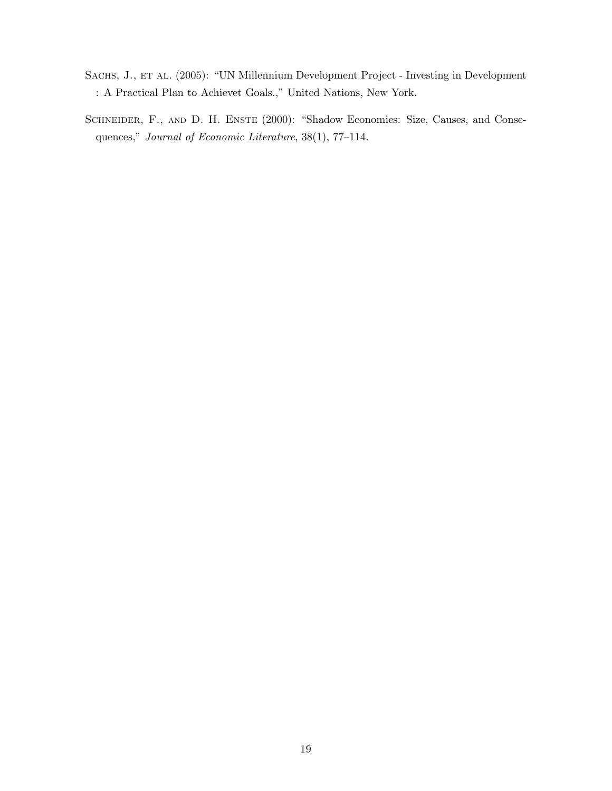- SACHS, J., ET AL. (2005): "UN Millennium Development Project Investing in Development : A Practical Plan to Achievet Goals.," United Nations, New York.
- SCHNEIDER, F., AND D. H. ENSTE (2000): "Shadow Economies: Size, Causes, and Consequences," Journal of Economic Literature, 38(1), 77–114.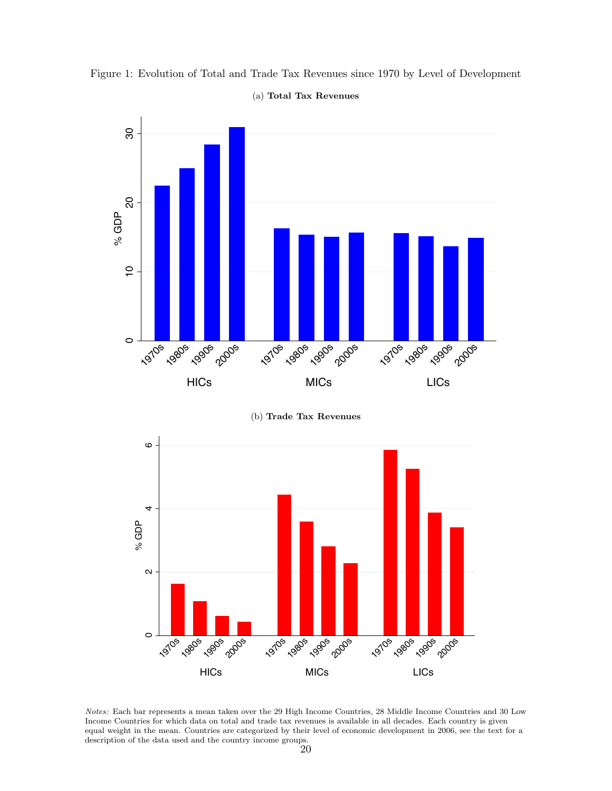

Figure 1: Evolution of Total and Trade Tax Revenues since 1970 by Level of Development (a) Total Tax Revenues

(b) Trade Tax Revenues



Notes: Each bar represents a mean taken over the 29 High Income Countries, 28 Middle Income Countries and 30 Low Income Countries for which data on total and trade tax revenues is available in all decades. Each country is given equal weight in the mean. Countries are categorized by their level of economic development in 2006, see the text for a description of the data used and the country income groups. 20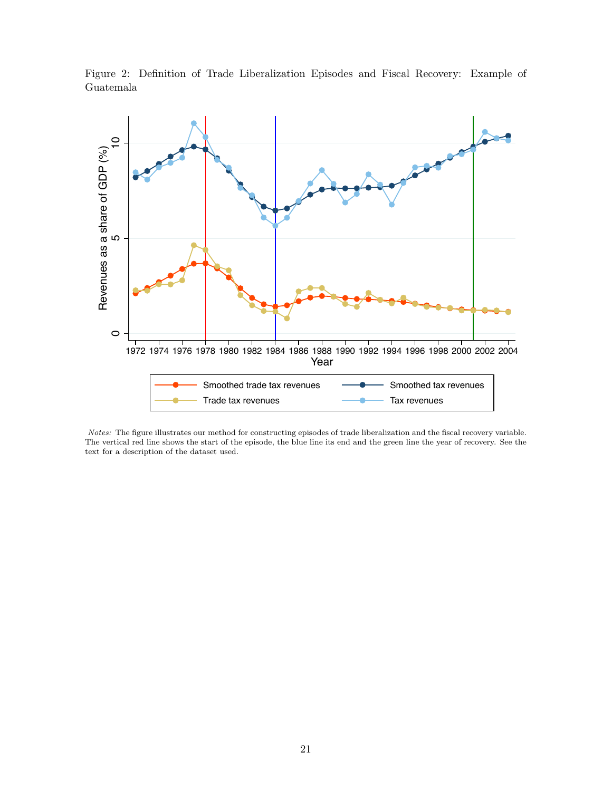Figure 2: Definition of Trade Liberalization Episodes and Fiscal Recovery: Example of Guatemala



Notes: The figure illustrates our method for constructing episodes of trade liberalization and the fiscal recovery variable. The vertical red line shows the start of the episode, the blue line its end and the green line the year of recovery. See the text for a description of the dataset used.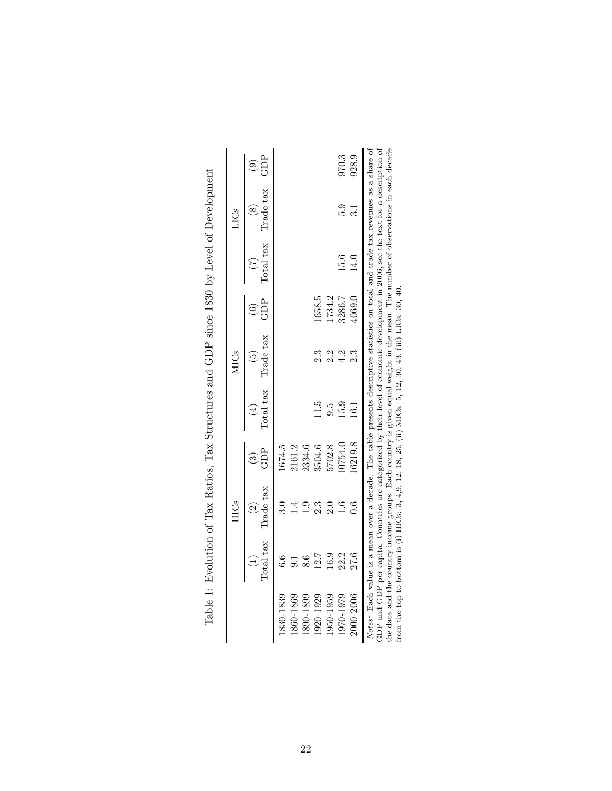|           |                                                | <b>HICs</b>                |                                                                     |                  | <b>MICs</b>                               |                |      | LICs                                 |                                                   |
|-----------|------------------------------------------------|----------------------------|---------------------------------------------------------------------|------------------|-------------------------------------------|----------------|------|--------------------------------------|---------------------------------------------------|
|           | Total tax<br>$\begin{pmatrix} 1 \end{pmatrix}$ | Trade tax<br>$\widehat{c}$ | $\widehat{\mathcal{C}}$                                             |                  | Total tax Trade tax<br>$\widehat{\Theta}$ | GDP<br>$\odot$ |      | Total tax Trade tax<br>$\circledast$ | $\widehat{\mathcal{C}}_{\mathbf{G}}^{\mathbf{B}}$ |
| 1830-1839 | 6.6                                            |                            |                                                                     |                  |                                           |                |      |                                      |                                                   |
| 1860-1869 |                                                |                            | $\begin{array}{c} 1674.5 \\ 2161.2 \\ 2334.6 \\ 3504.6 \end{array}$ |                  |                                           |                |      |                                      |                                                   |
| 1890-1899 | 8.6                                            |                            |                                                                     |                  |                                           |                |      |                                      |                                                   |
| 1920-1929 | 12.7                                           | 2.3                        |                                                                     | 11.5             | $2.\overline{3}$                          | 1658.5         |      |                                      |                                                   |
| 1950-1959 | 16.9                                           | 2.0                        | 5702.8                                                              | $9.\overline{5}$ | 2.2                                       | 1734.2         |      |                                      |                                                   |
| 1970-1979 | 22.2                                           | $1.6\phantom{0}$           | 0754.0                                                              | 15.9             | 4.2                                       | 3286.7         | 15.6 | 5.9                                  |                                                   |
| 2000-2006 | 27.6                                           | 0.6                        | 6219.8                                                              | 16.1             | 2.3                                       | 4069.0         | 14.0 | 3.1                                  | 970.3<br>928.9                                    |

Table 1: Evolution of Tax Ratios, Tax Structures and GDP since 1830 by Level of Development Table 1: Evolution of Tax Ratios, Tax Structures and GDP since 1830 by Level of Development

*Notes*: Each value is a mean over a decade. The table presents descriptive statistics on total and trade tax revenues as a share of GDP and GDP per capita. Countries are categorized by their level of economic development GDP and GDP per capita. Countries are categorized by their level of economic development in 2006, see the text for a description of the data and the country income groups. Each country is given equal weight in the mean. The number of observations in each decade from the top to bottom is (i) HICs: 3, 4,9, 12, 18, 25; (ii) MICs: 5, 12, 30, 43; (iii) LICs: 30, 40.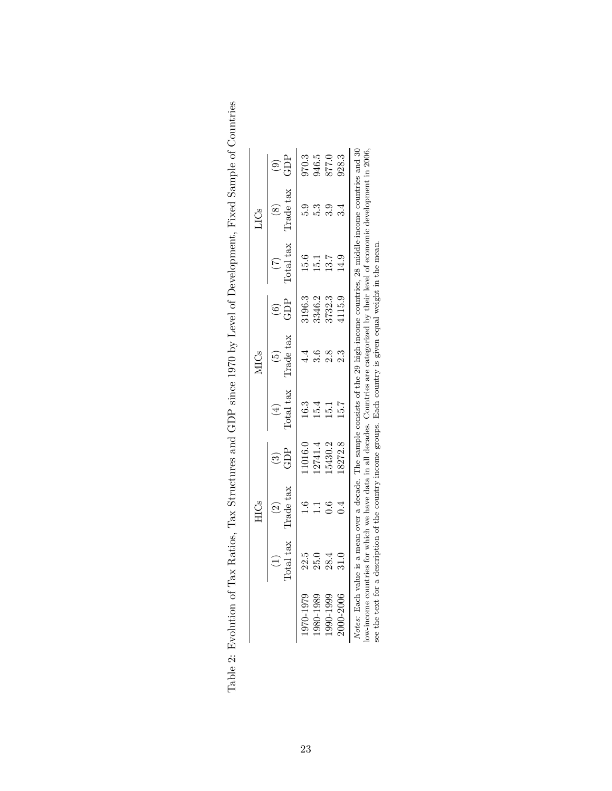| 877.0<br>GDP<br>$\odot$<br>Trade tax<br>3.9<br>С.<br>С<br>3.4<br>Total tax<br>15.6<br>13.7<br>$\frac{9}{4}$<br>$\frac{1}{5}$<br>3346.2<br>1115.9<br>3196.3<br>3732.3<br>GDP<br>$\widehat{\mathbf{e}}$<br>Trade tax<br>2.8<br>Iotal tax<br>5.7<br>c3<br>15.4<br>$\frac{1}{2}$<br>5430.2<br>8272.8<br>2741.4<br>1016.0<br>GDP<br>Trade tax<br>Total tax<br>22.5<br>28.4<br>25.0<br>$\frac{31.0}{2}$<br>2000-2006<br>9701979<br>980-1989<br>990-1999 |  | HICs                                                                                                        |  | <b>MICs</b> |  | LICs |       |
|---------------------------------------------------------------------------------------------------------------------------------------------------------------------------------------------------------------------------------------------------------------------------------------------------------------------------------------------------------------------------------------------------------------------------------------------------|--|-------------------------------------------------------------------------------------------------------------|--|-------------|--|------|-------|
|                                                                                                                                                                                                                                                                                                                                                                                                                                                   |  |                                                                                                             |  |             |  |      |       |
|                                                                                                                                                                                                                                                                                                                                                                                                                                                   |  |                                                                                                             |  |             |  |      | 970.3 |
|                                                                                                                                                                                                                                                                                                                                                                                                                                                   |  |                                                                                                             |  |             |  |      | 946.5 |
|                                                                                                                                                                                                                                                                                                                                                                                                                                                   |  |                                                                                                             |  |             |  |      |       |
|                                                                                                                                                                                                                                                                                                                                                                                                                                                   |  |                                                                                                             |  |             |  |      | 928.3 |
| ow-income countries for which we have data in all decades. Countries are categorized by their level of economic development in $2006$                                                                                                                                                                                                                                                                                                             |  | see the text for a description of the country income groups. Each country is given equal weight in the mean |  |             |  |      |       |

Table 2: Evolution of Tax Ratios, Tax Structures and GDP since 1970 by Level of Development, Fixed Sample of Countries Table 2: Evolution of Tax Ratios, Tax Structures and GDP since 1970 by Level of Development, Fixed Sample of Countries

23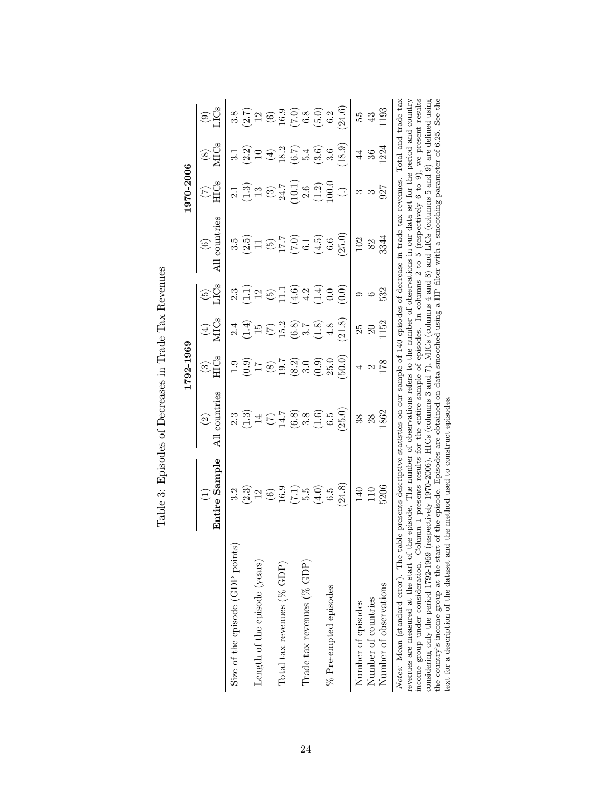|                                                                                                                                                                                                                                                                                                                                                                                                                                                                                         |                                                                                                                                                                                                                                                                                                                                                                                                               |                                                                                                                                                                                                                                                                                                                                                                                 | 1792-1969                                                                                                                                    |                                                                                                                                                                                                                                                                                                                                                   |                                                     |                      | 1970-2006                                                                   |                                                                                                                                                                                                                                                                                                                                                                                                                                                                                         |                                                  |
|-----------------------------------------------------------------------------------------------------------------------------------------------------------------------------------------------------------------------------------------------------------------------------------------------------------------------------------------------------------------------------------------------------------------------------------------------------------------------------------------|---------------------------------------------------------------------------------------------------------------------------------------------------------------------------------------------------------------------------------------------------------------------------------------------------------------------------------------------------------------------------------------------------------------|---------------------------------------------------------------------------------------------------------------------------------------------------------------------------------------------------------------------------------------------------------------------------------------------------------------------------------------------------------------------------------|----------------------------------------------------------------------------------------------------------------------------------------------|---------------------------------------------------------------------------------------------------------------------------------------------------------------------------------------------------------------------------------------------------------------------------------------------------------------------------------------------------|-----------------------------------------------------|----------------------|-----------------------------------------------------------------------------|-----------------------------------------------------------------------------------------------------------------------------------------------------------------------------------------------------------------------------------------------------------------------------------------------------------------------------------------------------------------------------------------------------------------------------------------------------------------------------------------|--------------------------------------------------|
|                                                                                                                                                                                                                                                                                                                                                                                                                                                                                         | Entire Sample<br>$\widehat{\Xi}$                                                                                                                                                                                                                                                                                                                                                                              | countries<br>$\odot$                                                                                                                                                                                                                                                                                                                                                            | $\odot$                                                                                                                                      | <b>MICs</b><br>$\bigoplus$                                                                                                                                                                                                                                                                                                                        | <b>CS</b><br>$\widetilde{\mathbb{G}}$               | countries<br>$\odot$ | $(\zeta)$                                                                   | $\overset{(8)}{\underset{\text{MIGS}}{\sum}}$                                                                                                                                                                                                                                                                                                                                                                                                                                           | $\circledcirc$                                   |
| Size of the episode (GDP points)                                                                                                                                                                                                                                                                                                                                                                                                                                                        | 3.2                                                                                                                                                                                                                                                                                                                                                                                                           |                                                                                                                                                                                                                                                                                                                                                                                 |                                                                                                                                              |                                                                                                                                                                                                                                                                                                                                                   | 2.3                                                 | 3.5                  |                                                                             | $3.1$<br>$2.2$<br>$10$                                                                                                                                                                                                                                                                                                                                                                                                                                                                  |                                                  |
| Length of the episode (years)                                                                                                                                                                                                                                                                                                                                                                                                                                                           |                                                                                                                                                                                                                                                                                                                                                                                                               | $2.3 \over 1.3 \over 1.4 \over 1.5 \over 1.5 \over 1.5 \over 1.5 \over 1.5 \over 1.5 \over 1.5 \over 1.5 \over 1.5 \over 1.5 \over 1.5 \over 1.5 \over 1.5 \over 1.5 \over 1.5 \over 1.5 \over 1.5 \over 1.5 \over 1.5 \over 1.5 \over 1.5 \over 1.5 \over 1.5 \over 1.5 \over 1.5 \over 1.5 \over 1.5 \over 1.5 \over 1.5 \over 1.5 \over 1.5 \over 1.5 \over 1.5 \over 1.5 \$ |                                                                                                                                              | य न न<br>य न न                                                                                                                                                                                                                                                                                                                                    |                                                     | $(2.5)$<br>11        | $2.\overline{3}$<br>$\overline{1}$<br>$\overline{3}$<br>$\overline{1}$      |                                                                                                                                                                                                                                                                                                                                                                                                                                                                                         |                                                  |
| Total tax revenues (% GDP)                                                                                                                                                                                                                                                                                                                                                                                                                                                              |                                                                                                                                                                                                                                                                                                                                                                                                               |                                                                                                                                                                                                                                                                                                                                                                                 |                                                                                                                                              |                                                                                                                                                                                                                                                                                                                                                   |                                                     |                      |                                                                             |                                                                                                                                                                                                                                                                                                                                                                                                                                                                                         |                                                  |
| Trade tax revenues $(\%$ GDP)                                                                                                                                                                                                                                                                                                                                                                                                                                                           | $\begin{array}{l} (3,3) \\ (3,2) \\ (4,3) \\ (5,4) \\ (6,5) \\ (7,4) \\ (8,5) \\ (9,4) \\ (1,3) \\ (1,4) \\ (1,4) \\ (1,3) \\ (1,4) \\ (1,4) \\ (1,4) \\ (1,3) \\ (1,4) \\ (1,4) \\ (1,4) \\ (1,4) \\ (1,4) \\ (1,4) \\ (1,4) \\ (1,4) \\ (1,4) \\ (1,4) \\ (1,4) \\ (1,4) \\ (1,4) \\ (1,4) \\ (1,4) \\ (1,4) \\ (1,4) \\ (1,4) \\ (1,4) \\ (1,$                                                             |                                                                                                                                                                                                                                                                                                                                                                                 | $1.9$<br>$1.9$<br>$1.9$<br>$1.9$<br>$1.9$<br>$1.9$<br>$1.9$<br>$1.9$<br>$1.9$<br>$1.9$<br>$1.9$<br>$1.9$<br>$1.9$<br>$1.9$<br>$1.9$<br>$1.9$ | $\begin{array}{l} (7) \\ 15.2 \\ (6.3) \\ 7.8 \\ (7.4) \\ (8.4) \\ (1.4) \\ (1.4) \\ (1.4) \\ (1.4) \\ (1.4) \\ (1.4) \\ (1.4) \\ (1.4) \\ (1.4) \\ (1.4) \\ (1.4) \\ (1.4) \\ (1.4) \\ (1.4) \\ (1.4) \\ (1.4) \\ (1.4) \\ (1.4) \\ (1.4) \\ (1.4) \\ (1.4) \\ (1.4) \\ (1.4) \\ (1.4) \\ (1.4) \\ (1.4) \\ (1.4) \\ (1.4) \\ (1.4) \\ (1.4) \\$ |                                                     |                      | $\begin{array}{c} (3) \\ 24.7 \\ 10.1 \\ 2.6 \\ (1.2) \\ 100.0 \end{array}$ | $\begin{array}{c} \textcircled{\tiny 12.2}\\ \textcircled{\tiny 22.2}\\ \textcircled{\tiny 5.4.6}\\ \textcircled{\tiny 6.5.4}\\ \textcircled{\tiny 7.4.6}\\ \textcircled{\tiny 8.6}\\ \textcircled{\tiny 9.4.6}\\ \textcircled{\tiny 14.6.6}\\ \textcircled{\tiny 15.4.6}\\ \textcircled{\tiny 16.6.6}\\ \textcircled{\tiny 16.6.6}\\ \textcircled{\tiny 16.6.6}\\ \textcircled{\tiny 17.6.6}\\ \textcircled{\tiny 18.6.6}\\ \textcircled{\tiny 16.6.6}\\ \textcircled{\tiny 16.6.6}\\$ | 8 8 7 2 9 9 9 9 9 9 9 9<br>3 9 9 9 9 9 9 9 9 9 9 |
| % Pre-empted episodes                                                                                                                                                                                                                                                                                                                                                                                                                                                                   | (24.8)                                                                                                                                                                                                                                                                                                                                                                                                        | 25.0<br>$\begin{array}{c} (1.6) \\ 6.5 \end{array}$                                                                                                                                                                                                                                                                                                                             | 50.0                                                                                                                                         | (8.1)                                                                                                                                                                                                                                                                                                                                             | $\begin{array}{c} 1.6 \\ -1.0 \end{array}$<br>(0.0) | (25.0)               | $\bigodot$                                                                  | (6.81)                                                                                                                                                                                                                                                                                                                                                                                                                                                                                  | 24.6)                                            |
| Number of observations<br>Number of countries<br>Number of episodes                                                                                                                                                                                                                                                                                                                                                                                                                     | 5206<br>140<br>110                                                                                                                                                                                                                                                                                                                                                                                            | 1862<br>$38^{\circ}$<br>28                                                                                                                                                                                                                                                                                                                                                      | 178<br>$\mathbf{C}$<br>4                                                                                                                     | 1152<br>25<br>$\Omega$                                                                                                                                                                                                                                                                                                                            | 532<br>$\circ$<br>⊝                                 | 3344<br>102<br>82    | 927<br>S<br>S                                                               | 224<br>36<br>$\overline{4}$                                                                                                                                                                                                                                                                                                                                                                                                                                                             | 193<br>55<br>$\ddot{3}$                          |
| income group under consideration. Column 1 presents results for the entire sample of episodes. In columns 2 to 5 (respectively 6 to 9), we present results<br>Notes: Mean (standard error). The table presents descriptive statistics on our sample of 140 episodes of decrease in trade tax revenues.<br>revenues are measured at the start of the<br>considering only the period 1792-1969 (r<br>text for a description of the dataset and<br>the country's income group at the start | espectively 1970-2006). HICs (columns 3 and 7), MICs (columns 4 and 8) and LICs (columns 5 and 9) are defined using<br>of the episode. Episodes are obtained on data smoothed using a HP filter with a smoothing parameter of 6.25. See the<br>e episode. The number of observations refers to the number of observations in our data set for the period and country<br>the method used to construct episodes |                                                                                                                                                                                                                                                                                                                                                                                 |                                                                                                                                              |                                                                                                                                                                                                                                                                                                                                                   |                                                     |                      |                                                                             | Total and trade tax                                                                                                                                                                                                                                                                                                                                                                                                                                                                     |                                                  |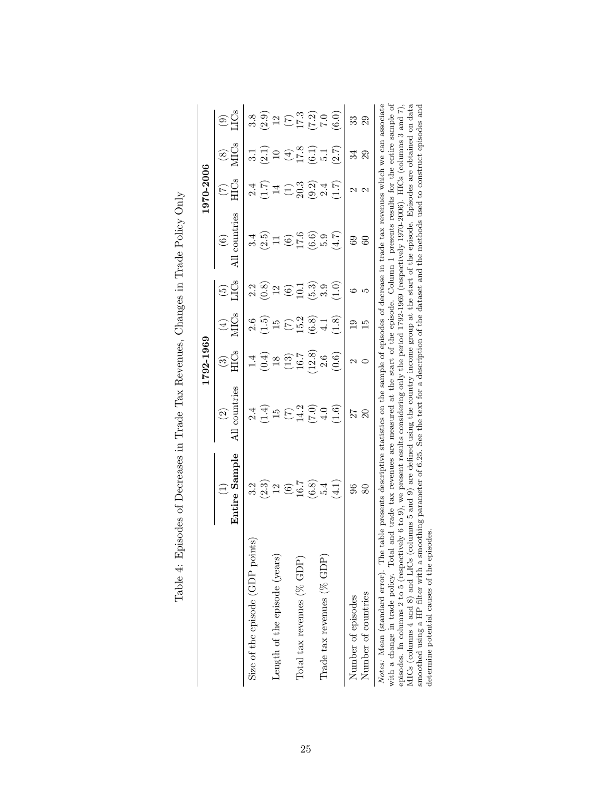|                                                                                                                                                                                                                                                                                                                                                                                                                                                                                                                                                                                                                    |                                                                                                                                                                                                                                                 |                                                 | 1792-1969                                                                                                                                                                                                                                                                                                                                        |                                                                                                                                                                                          |                                                                              |                                         | 1970-2006                      |                                                     |                                                                                                                                                                                |
|--------------------------------------------------------------------------------------------------------------------------------------------------------------------------------------------------------------------------------------------------------------------------------------------------------------------------------------------------------------------------------------------------------------------------------------------------------------------------------------------------------------------------------------------------------------------------------------------------------------------|-------------------------------------------------------------------------------------------------------------------------------------------------------------------------------------------------------------------------------------------------|-------------------------------------------------|--------------------------------------------------------------------------------------------------------------------------------------------------------------------------------------------------------------------------------------------------------------------------------------------------------------------------------------------------|------------------------------------------------------------------------------------------------------------------------------------------------------------------------------------------|------------------------------------------------------------------------------|-----------------------------------------|--------------------------------|-----------------------------------------------------|--------------------------------------------------------------------------------------------------------------------------------------------------------------------------------|
|                                                                                                                                                                                                                                                                                                                                                                                                                                                                                                                                                                                                                    | Entire Sample<br>$\widehat{\Xi}$                                                                                                                                                                                                                | l countries<br>$\widehat{S}$<br>Ц               | HICs<br>$\odot$                                                                                                                                                                                                                                                                                                                                  | <b>MICs</b><br>$\bigoplus$                                                                                                                                                               | LICs<br>$\widetilde{\Xi}$                                                    | All countries<br>$\widehat{\mathbf{e}}$ | <b>HICs</b><br>$\widetilde{C}$ | $\overset{(8)}{\text{MCS}}$                         | <b>CS</b><br>$\circledcirc$                                                                                                                                                    |
| Size of the episode (GDP points)                                                                                                                                                                                                                                                                                                                                                                                                                                                                                                                                                                                   | 3.2                                                                                                                                                                                                                                             |                                                 |                                                                                                                                                                                                                                                                                                                                                  |                                                                                                                                                                                          |                                                                              |                                         | 2.4                            |                                                     |                                                                                                                                                                                |
|                                                                                                                                                                                                                                                                                                                                                                                                                                                                                                                                                                                                                    |                                                                                                                                                                                                                                                 | $2.4$<br>$(1.4)$<br>$1.5$<br>$(7.0)$<br>$(7.0)$ | $\begin{array}{c} 1.4 \\[-4pt] (0.4) \\[-4pt] (1.3) \\[-4pt] (1.3) \\[-4pt] (1.3) \\[-4pt] (1.3) \\[-4pt] (1.3) \\[-4pt] (1.3) \\[-4pt] (1.3) \\[-4pt] (1.3) \\[-4pt] (1.3) \\[-4pt] (1.3) \\[-4pt] (1.3) \\[-4pt] (1.3) \\[-4pt] (1.3) \\[-4pt] (1.3) \\[-4pt] (1.3) \\[-4pt] (1.3) \\[-4pt] (1.3) \\[-4pt] (1.3) \\[-4pt] (1.3) \\[-4pt] (1.3$ | $\begin{array}{c} 2.6 \\ 1.5 \\ 1.5 \\ \hline \end{array} \quad \begin{array}{c} 2.6 \\ 1.5 \\ 2.2 \\ \hline \end{array} \quad \begin{array}{c} 2.6 \\ 0.8 \\ 4.1 \\ \hline \end{array}$ | $2.\overline{8}$<br>$0.\overline{8}$<br>$1.\overline{6}$<br>$0.\overline{1}$ | $3.4$<br>$0.5$<br>$1$                   |                                | $3.1$<br>$2.1$ )<br>$19$<br>$7.8$<br>$5.1$<br>$5.1$ | $\begin{array}{c} 3.8 \\ 2.9 \\ 2.1 \end{array}$ $\begin{array}{c} 2.9 \\ 2.1 \end{array}$ $\begin{array}{c} 2.9 \\ 2.1 \end{array}$ $\begin{array}{c} 2.9 \\ 2.1 \end{array}$ |
| Length of the episode (years)                                                                                                                                                                                                                                                                                                                                                                                                                                                                                                                                                                                      |                                                                                                                                                                                                                                                 |                                                 |                                                                                                                                                                                                                                                                                                                                                  |                                                                                                                                                                                          |                                                                              |                                         |                                |                                                     |                                                                                                                                                                                |
|                                                                                                                                                                                                                                                                                                                                                                                                                                                                                                                                                                                                                    | $(2.3)$<br>$(6.7)$<br>$(6.8)$<br>$(6.4)$                                                                                                                                                                                                        |                                                 |                                                                                                                                                                                                                                                                                                                                                  |                                                                                                                                                                                          |                                                                              | $(6)$<br>17.6<br>(6.6)                  |                                |                                                     |                                                                                                                                                                                |
| Total tax revenues (% GDP)                                                                                                                                                                                                                                                                                                                                                                                                                                                                                                                                                                                         |                                                                                                                                                                                                                                                 |                                                 |                                                                                                                                                                                                                                                                                                                                                  |                                                                                                                                                                                          |                                                                              |                                         |                                |                                                     |                                                                                                                                                                                |
|                                                                                                                                                                                                                                                                                                                                                                                                                                                                                                                                                                                                                    |                                                                                                                                                                                                                                                 |                                                 |                                                                                                                                                                                                                                                                                                                                                  |                                                                                                                                                                                          | (5.3)                                                                        |                                         |                                |                                                     |                                                                                                                                                                                |
| Trade tax revenues (% GDP)                                                                                                                                                                                                                                                                                                                                                                                                                                                                                                                                                                                         |                                                                                                                                                                                                                                                 |                                                 |                                                                                                                                                                                                                                                                                                                                                  |                                                                                                                                                                                          | 3.9                                                                          | 5.9                                     |                                |                                                     |                                                                                                                                                                                |
|                                                                                                                                                                                                                                                                                                                                                                                                                                                                                                                                                                                                                    | $\left(\frac{1}{4}\right)$                                                                                                                                                                                                                      | (1.6)                                           | (0.6)                                                                                                                                                                                                                                                                                                                                            | (1.8)                                                                                                                                                                                    | $\frac{1}{1}$                                                                | (4.7)                                   | (1.7)                          | (2.7)                                               |                                                                                                                                                                                |
| Number of episodes                                                                                                                                                                                                                                                                                                                                                                                                                                                                                                                                                                                                 | 96                                                                                                                                                                                                                                              | 27                                              | $\mathcal{C}$                                                                                                                                                                                                                                                                                                                                    | $\overline{0}$                                                                                                                                                                           | అ                                                                            | ස                                       | $\mathbf{\mathcal{C}}$         | 34                                                  | ೫                                                                                                                                                                              |
| Number of countries                                                                                                                                                                                                                                                                                                                                                                                                                                                                                                                                                                                                | 80                                                                                                                                                                                                                                              |                                                 |                                                                                                                                                                                                                                                                                                                                                  | $\frac{5}{1}$                                                                                                                                                                            | LC.                                                                          | 3                                       | $\mathbf{\Omega}$              | 29                                                  | $\overline{29}$                                                                                                                                                                |
| MICs (columns 4 and 8) and LICs (columns 5 and 9) are defined using the country income group at the start of the episode. Episodes are obtained on data<br>smoothed using a HP filter with a smoothing parameter of 6.25. See the text for a description of the dataset and the methods used to construct episodes and<br>pisodes. In columns 2 to 5 (respectively 6 to 9), we present results considering only the period 1792-1969 (respectively 1970-2006). HICs (columns 3 and 7).<br>determine potential causes of the episodes.<br>with a change in trade policy. Total<br>Notes: Mean (standard error). The | table presents descriptive statistics on the sample of episodes of decrease in trade tax revenues which we can associate<br>and trade tax revenues are measured at the start of the episode. Column 1 presents results for the entire sample of |                                                 |                                                                                                                                                                                                                                                                                                                                                  |                                                                                                                                                                                          |                                                                              |                                         |                                |                                                     |                                                                                                                                                                                |

| i<br>$\vdots$<br>I                                                                                                                             |
|------------------------------------------------------------------------------------------------------------------------------------------------|
| ו<br>ו<br>'<br>$\overline{ }$                                                                                                                  |
| ł<br>$\frac{1}{3}$<br>くら<br>l<br>$\frac{1}{2}$ , $\frac{1}{2}$ , $\frac{1}{2}$ , $\frac{1}{2}$ , $\frac{1}{2}$ , $\frac{1}{2}$ , $\frac{1}{2}$ |
| .<br>.<br>.<br>ו<br>ו<br>į<br>j<br>.<br>.<br>.<br>.<br>S<br>C<br>C<br>C<br>١<br>່ໄ<br>I                                                        |
| ì<br>)<br> <br> <br>į<br>$\frac{1}{1}$<br>$\frac{1}{4}$<br>ļ                                                                                   |
| i<br> <br> <br>I                                                                                                                               |
| ) 2011 - 2012 - 2013 - 2014 - 2015 - 2016 - 2017 - 2017 - 2017 - 2017 - 2017 - 2017 - 2017 - 2017 - 2017 - 20<br>ļ<br>l                        |
| $\ddot{\phantom{0}}$                                                                                                                           |
| $\overline{\phantom{a}}$                                                                                                                       |
|                                                                                                                                                |
| j<br>$\frac{1}{2}$<br>י<br>י<br>ļ<br>י<br> <br> <br> <br> <br>l<br>ļ                                                                           |
|                                                                                                                                                |
| $\frac{1}{2}$<br>.<br> <br>                                                                                                                    |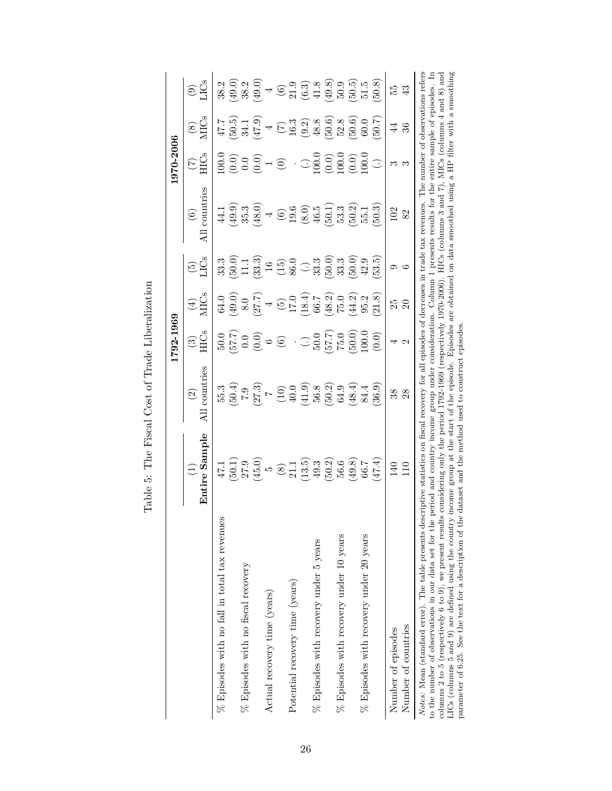|                                                                                                                                                                                                                                                                                                                                                                                                                                                                                                               |                                                                                                                                                                                                                                       |                                                                 | 1792-1969                                            |                                                                                                                                                                                                                                                 |                                                                                                                                                                                                                                                                                       |                                                                                                                                                                                                                                                                                                                        | 1970-2006                      |                                                                                                    |                                                                                                                                                                                                                                                                                                                                                                                   |
|---------------------------------------------------------------------------------------------------------------------------------------------------------------------------------------------------------------------------------------------------------------------------------------------------------------------------------------------------------------------------------------------------------------------------------------------------------------------------------------------------------------|---------------------------------------------------------------------------------------------------------------------------------------------------------------------------------------------------------------------------------------|-----------------------------------------------------------------|------------------------------------------------------|-------------------------------------------------------------------------------------------------------------------------------------------------------------------------------------------------------------------------------------------------|---------------------------------------------------------------------------------------------------------------------------------------------------------------------------------------------------------------------------------------------------------------------------------------|------------------------------------------------------------------------------------------------------------------------------------------------------------------------------------------------------------------------------------------------------------------------------------------------------------------------|--------------------------------|----------------------------------------------------------------------------------------------------|-----------------------------------------------------------------------------------------------------------------------------------------------------------------------------------------------------------------------------------------------------------------------------------------------------------------------------------------------------------------------------------|
|                                                                                                                                                                                                                                                                                                                                                                                                                                                                                                               | Entire Sample<br>$\bigoplus$                                                                                                                                                                                                          | l countries<br>$\odot$                                          | $\frac{(3)}{ECS}$                                    | $\frac{4}{2}$                                                                                                                                                                                                                                   | $\widetilde{\omega}$                                                                                                                                                                                                                                                                  | countries<br>$\odot$                                                                                                                                                                                                                                                                                                   | <b>HICs</b><br>$\widetilde{C}$ | $\frac{(8)}{MCS}$                                                                                  | $\widehat{\mathcal{C}}$                                                                                                                                                                                                                                                                                                                                                           |
| $%$ Episodes with no fall in total tax revenues                                                                                                                                                                                                                                                                                                                                                                                                                                                               |                                                                                                                                                                                                                                       |                                                                 |                                                      |                                                                                                                                                                                                                                                 | 33.3                                                                                                                                                                                                                                                                                  | 44.1                                                                                                                                                                                                                                                                                                                   | 0.00                           |                                                                                                    |                                                                                                                                                                                                                                                                                                                                                                                   |
|                                                                                                                                                                                                                                                                                                                                                                                                                                                                                                               |                                                                                                                                                                                                                                       |                                                                 |                                                      |                                                                                                                                                                                                                                                 |                                                                                                                                                                                                                                                                                       |                                                                                                                                                                                                                                                                                                                        |                                |                                                                                                    |                                                                                                                                                                                                                                                                                                                                                                                   |
| $\%$ Episodes with no fiscal recovery                                                                                                                                                                                                                                                                                                                                                                                                                                                                         |                                                                                                                                                                                                                                       |                                                                 |                                                      |                                                                                                                                                                                                                                                 |                                                                                                                                                                                                                                                                                       |                                                                                                                                                                                                                                                                                                                        |                                |                                                                                                    |                                                                                                                                                                                                                                                                                                                                                                                   |
|                                                                                                                                                                                                                                                                                                                                                                                                                                                                                                               | $47.1$<br>$45.0$<br>$65.0$<br>$7.1$<br>$65.0$<br>$7.1$<br>$7.0$<br>$7.1$<br>$7.0$<br>$7.0$<br>$7.0$<br>$7.0$<br>$7.0$<br>$7.0$<br>$7.0$<br>$7.0$<br>$7.0$<br>$7.0$<br>$7.0$<br>$7.0$<br>$7.0$                                         | 5<br>5 5 5 7 7 7 9 9 9 8 9 9 9 4 4<br>5 6 7 7 7 9 9 9 8 9 9 4 5 | $50.0$<br>$57.7$ )<br>$0.0$<br>$0.0$<br>$0.0$<br>$0$ | $G_0 = 0.5$ $G_1 = 0.5$ $G_2 = 0.5$ $G_3 = 0.5$ $G_4 = 0.5$ $G_5 = 0.5$ $G_6 = 0.5$ $G_7 = 0.5$ $G_8 = 0.5$ $G_9 = 0.5$ $G_9 = 0.5$ $G_1 = 0.5$ $G_2 = 0.5$ $G_3 = 0.5$ $G_4 = 0.5$ $G_5 = 0.5$ $G_6 = 0.5$ $G_7 = 0.5$ $G_8 = 0.5$ $G_9 = 0.5$ | $\begin{array}{l} 0.00000 \\ 0.000000 \\ 0.000000 \\ 0.00000 \\ 0.00000 \\ 0.00000 \\ 0.00000 \\ 0.00000 \\ 0.00000 \\ 0.00000 \\ 0.00000 \\ 0.00000 \\ 0.00000 \\ 0.00000 \\ 0.00000 \\ 0.00000 \\ 0.00000 \\ 0.00000 \\ 0.00000 \\ 0.00000 \\ 0.00000 \\ 0.00000 \\ 0.00000 \\ 0.0$ | $\begin{array}{l} (1,3,4) \\ (1,3,4) \\ (1,3,4) \\ (1,4,4) \\ (1,4,4) \\ (1,4,4) \\ (1,4,4) \\ (1,4,4) \\ (1,4,4) \\ (1,4,4) \\ (1,4,4) \\ (1,4,4) \\ (1,4,4) \\ (1,4,4) \\ (1,4,4) \\ (1,4,4) \\ (1,4,4) \\ (1,4,4) \\ (1,4,4) \\ (1,4,4) \\ (1,4,4) \\ (1,4,4) \\ (1,4,4) \\ (1,4,4) \\ (1,4,4) \\ (1,4,4) \\ (1,4,$ | (0.00000)                      |                                                                                                    | $\begin{array}{l} \mathbf{32.59} \\ \mathbf{33.99} \\ \mathbf{34.99} \\ \mathbf{35.10} \\ \mathbf{36.99} \\ \mathbf{37.10} \\ \mathbf{38.99} \\ \mathbf{49.10} \\ \mathbf{50.10} \\ \mathbf{61.10} \\ \mathbf{71.10} \\ \mathbf{82.10} \\ \mathbf{93.10} \\ \mathbf{10.10} \\ \mathbf{11.10} \\ \mathbf{12.10} \\ \mathbf{13.10} \\ \mathbf{14.10} \\ \mathbf{15.10} \\ \mathbf{$ |
| Actual recovery time (years)                                                                                                                                                                                                                                                                                                                                                                                                                                                                                  |                                                                                                                                                                                                                                       |                                                                 |                                                      |                                                                                                                                                                                                                                                 |                                                                                                                                                                                                                                                                                       |                                                                                                                                                                                                                                                                                                                        |                                |                                                                                                    |                                                                                                                                                                                                                                                                                                                                                                                   |
|                                                                                                                                                                                                                                                                                                                                                                                                                                                                                                               |                                                                                                                                                                                                                                       |                                                                 | $\odot$                                              |                                                                                                                                                                                                                                                 |                                                                                                                                                                                                                                                                                       |                                                                                                                                                                                                                                                                                                                        | $\widehat{\odot}$              |                                                                                                    |                                                                                                                                                                                                                                                                                                                                                                                   |
| Potential recovery time (years)                                                                                                                                                                                                                                                                                                                                                                                                                                                                               |                                                                                                                                                                                                                                       |                                                                 |                                                      |                                                                                                                                                                                                                                                 |                                                                                                                                                                                                                                                                                       |                                                                                                                                                                                                                                                                                                                        |                                |                                                                                                    |                                                                                                                                                                                                                                                                                                                                                                                   |
|                                                                                                                                                                                                                                                                                                                                                                                                                                                                                                               |                                                                                                                                                                                                                                       |                                                                 |                                                      |                                                                                                                                                                                                                                                 |                                                                                                                                                                                                                                                                                       |                                                                                                                                                                                                                                                                                                                        |                                |                                                                                                    |                                                                                                                                                                                                                                                                                                                                                                                   |
| $%$ Episodes with recovery under 5 years                                                                                                                                                                                                                                                                                                                                                                                                                                                                      |                                                                                                                                                                                                                                       |                                                                 |                                                      |                                                                                                                                                                                                                                                 |                                                                                                                                                                                                                                                                                       |                                                                                                                                                                                                                                                                                                                        |                                |                                                                                                    |                                                                                                                                                                                                                                                                                                                                                                                   |
|                                                                                                                                                                                                                                                                                                                                                                                                                                                                                                               |                                                                                                                                                                                                                                       |                                                                 |                                                      |                                                                                                                                                                                                                                                 |                                                                                                                                                                                                                                                                                       |                                                                                                                                                                                                                                                                                                                        |                                |                                                                                                    |                                                                                                                                                                                                                                                                                                                                                                                   |
| $\%$ Episodes with recovery under 10 years                                                                                                                                                                                                                                                                                                                                                                                                                                                                    |                                                                                                                                                                                                                                       |                                                                 |                                                      |                                                                                                                                                                                                                                                 |                                                                                                                                                                                                                                                                                       |                                                                                                                                                                                                                                                                                                                        |                                |                                                                                                    |                                                                                                                                                                                                                                                                                                                                                                                   |
|                                                                                                                                                                                                                                                                                                                                                                                                                                                                                                               |                                                                                                                                                                                                                                       |                                                                 |                                                      |                                                                                                                                                                                                                                                 |                                                                                                                                                                                                                                                                                       |                                                                                                                                                                                                                                                                                                                        |                                |                                                                                                    |                                                                                                                                                                                                                                                                                                                                                                                   |
| $\%$ Episodes with recovery under 20 years                                                                                                                                                                                                                                                                                                                                                                                                                                                                    | 66.7                                                                                                                                                                                                                                  |                                                                 |                                                      |                                                                                                                                                                                                                                                 |                                                                                                                                                                                                                                                                                       |                                                                                                                                                                                                                                                                                                                        |                                |                                                                                                    |                                                                                                                                                                                                                                                                                                                                                                                   |
|                                                                                                                                                                                                                                                                                                                                                                                                                                                                                                               | (47.4)                                                                                                                                                                                                                                | 36.9                                                            | $\left(0.0\right)$                                   | (8, 1, 8)                                                                                                                                                                                                                                       | 53.5)                                                                                                                                                                                                                                                                                 | 50.3                                                                                                                                                                                                                                                                                                                   | $\bigcirc$                     | 50.7                                                                                               | 50.8                                                                                                                                                                                                                                                                                                                                                                              |
| Number of episodes                                                                                                                                                                                                                                                                                                                                                                                                                                                                                            | 140                                                                                                                                                                                                                                   | 38                                                              |                                                      | 25                                                                                                                                                                                                                                              |                                                                                                                                                                                                                                                                                       | 102                                                                                                                                                                                                                                                                                                                    | ಣ                              | $\ddot{4}$                                                                                         | 55                                                                                                                                                                                                                                                                                                                                                                                |
| Number of countries                                                                                                                                                                                                                                                                                                                                                                                                                                                                                           | 110                                                                                                                                                                                                                                   | 28                                                              | 2                                                    |                                                                                                                                                                                                                                                 |                                                                                                                                                                                                                                                                                       | 82                                                                                                                                                                                                                                                                                                                     |                                | $36\,$                                                                                             | $\mathfrak{B}$                                                                                                                                                                                                                                                                                                                                                                    |
| to the number of observations in our data set for the period and country income group under consideration. Column 1 presents results for the entire sample of episodes. In<br>Notes: Mean (standard error). The table presents descriptive statistics on fiscal recovery for all episodes of decreases in trade tax revenues.<br>columns 2 to 5 (respectively 6 to 9), we present results<br>parameter of 6.25. See the text for a description of the<br>LICs (columns 5 and 9) are defined using the country | income group at the start of the episode. Episodes are obtained on data smoothed using<br>considering only the period 1792-1969 (respectively 1970-2006). HICs (columns 3 and 7)<br>dataset and the method used to construct episodes |                                                                 |                                                      |                                                                                                                                                                                                                                                 |                                                                                                                                                                                                                                                                                       |                                                                                                                                                                                                                                                                                                                        |                                | The number of observations refers<br>a HP filter with a smoothing<br>), MICs (columns 4 and 8) and |                                                                                                                                                                                                                                                                                                                                                                                   |

Table 5: The Fiscal Cost of Trade Liberalization Table 5: The Fiscal Cost of Trade Liberalization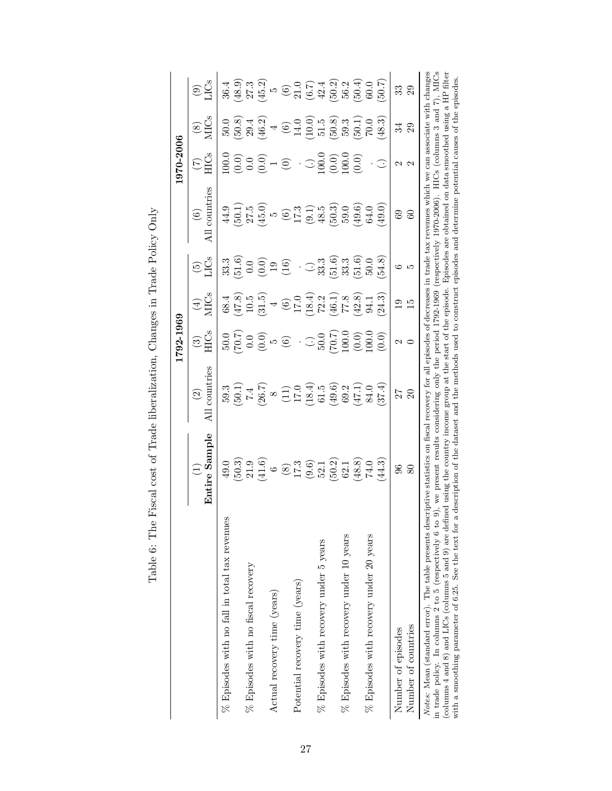|                                                                                                                                                                                                                                                                                                                                                                                                                                                                                          |                                                                                                                                                                                                                                                                                       |                                                                                                                                                                                                                                      | 1792-1969                                 |                                                                                                                                                                                                                                                                                                                                    |                                                         |                                                                                                                            | 1970-2006                                                                 |                                                                                                                                                         |                                                                                                                                                                                                     |
|------------------------------------------------------------------------------------------------------------------------------------------------------------------------------------------------------------------------------------------------------------------------------------------------------------------------------------------------------------------------------------------------------------------------------------------------------------------------------------------|---------------------------------------------------------------------------------------------------------------------------------------------------------------------------------------------------------------------------------------------------------------------------------------|--------------------------------------------------------------------------------------------------------------------------------------------------------------------------------------------------------------------------------------|-------------------------------------------|------------------------------------------------------------------------------------------------------------------------------------------------------------------------------------------------------------------------------------------------------------------------------------------------------------------------------------|---------------------------------------------------------|----------------------------------------------------------------------------------------------------------------------------|---------------------------------------------------------------------------|---------------------------------------------------------------------------------------------------------------------------------------------------------|-----------------------------------------------------------------------------------------------------------------------------------------------------------------------------------------------------|
|                                                                                                                                                                                                                                                                                                                                                                                                                                                                                          | Entire Sample<br>$\begin{array}{c} \square \end{array}$                                                                                                                                                                                                                               | All countries<br>$\widehat{\mathfrak{D}}$                                                                                                                                                                                            | <b>HICs</b><br>$\odot$                    | <b>MICs</b><br>$\bigoplus$                                                                                                                                                                                                                                                                                                         | $\widetilde{\Xi}^{\text{CS}}_{\text{LS}}$               | All countries<br>$\odot$                                                                                                   | <b>HICs</b><br>E                                                          | $\frac{\text{S}}{\text{MCS}}$                                                                                                                           | C <sub>S</sub><br>$\widehat{\mathfrak{S}}$                                                                                                                                                          |
| $%$ Episodes with no fall in total tax revenues                                                                                                                                                                                                                                                                                                                                                                                                                                          | 49.0                                                                                                                                                                                                                                                                                  |                                                                                                                                                                                                                                      | 50.0                                      | 68.4                                                                                                                                                                                                                                                                                                                               | 33.3                                                    | 44.9                                                                                                                       | 00.0                                                                      | 50.0                                                                                                                                                    | 36.4                                                                                                                                                                                                |
|                                                                                                                                                                                                                                                                                                                                                                                                                                                                                          | $(50.3)$                                                                                                                                                                                                                                                                              |                                                                                                                                                                                                                                      |                                           |                                                                                                                                                                                                                                                                                                                                    |                                                         |                                                                                                                            |                                                                           |                                                                                                                                                         |                                                                                                                                                                                                     |
| $%$ Episodes with no fiscal recovery                                                                                                                                                                                                                                                                                                                                                                                                                                                     |                                                                                                                                                                                                                                                                                       |                                                                                                                                                                                                                                      |                                           |                                                                                                                                                                                                                                                                                                                                    |                                                         |                                                                                                                            |                                                                           |                                                                                                                                                         |                                                                                                                                                                                                     |
|                                                                                                                                                                                                                                                                                                                                                                                                                                                                                          | $\begin{array}{l} 21.9 \\ 41.6 \\ 6 \\ \hline \end{array} \quad \begin{array}{l} 21.9 \\ 6 \\ 21.7 \\ 17.3 \\ \hline \end{array} \quad \begin{array}{l} 21.9 \\ 60.7 \\ 17.2 \\ 18.8 \\ \hline \end{array} \quad \begin{array}{l} 21.9 \\ 21.8 \\ 21.8 \\ 14.0 \\ \hline \end{array}$ | $59.3$<br>$50.1$<br>$7.4$ $8$ $8$ $1$<br>$12.4$ $9.4$ $15.4$ $15.4$ $15.4$ $15.4$ $15.4$ $15.4$ $15.4$ $15.4$ $15.4$ $15.4$ $15.4$ $15.4$ $15.4$ $15.4$ $15.4$ $15.4$ $15.4$ $15.4$ $15.4$ $15.4$ $15.4$ $15.4$ $15.4$ $15.4$ $15.4$ | $70.7$<br>$0.0$<br>$5$<br>$0.0$<br>$0.07$ | $(47.8)$<br>$10.5$<br>$10.5$<br>$4$<br>$(6)$<br>$17.0$                                                                                                                                                                                                                                                                             | $\begin{array}{c} 51.6 \\ 0.0 \\ 0.9 \\ 19 \end{array}$ | $(0,0,0)$<br>$(0,0,0)$ $(0,0,0)$ $(0,0,0)$ $(0,0,0)$ $(0,0,0)$ $(0,0,0)$ $(0,0,0)$ $(0,0,0)$ $(0,0,0)$ $(0,0,0)$ $(0,0,0)$ | (0.000000)                                                                | $(50.8)$<br>$(6.9)$<br>$(6.9)$<br>$(6.9)$<br>$(6.9)$<br>$(6.9)$<br>$(6.9)$<br>$(6.9)$<br>$(6.9)$<br>$(6.9)$<br>$(6.9)$<br>$(6.9)$<br>$(6.9)$<br>$(6.9)$ | $(48.9)\n(45.2)\n(45.3)\n(5.4)\n(6.5)\n(7.4)\n(8.9)\n(9.5)\n(1.4)\n(1.5)\n(1.5)\n(1.5)\n(1.5)\n(1.5)\n(1.5)\n(1.5)\n(1.5)\n(1.5)\n(1.5)\n(1.5)\n(1.5)\n(1.5)\n(1.5)\n(1.5)\n(1.5)\n(1.5)\n(1.5)\n($ |
| Actual recovery time (years)                                                                                                                                                                                                                                                                                                                                                                                                                                                             |                                                                                                                                                                                                                                                                                       |                                                                                                                                                                                                                                      |                                           |                                                                                                                                                                                                                                                                                                                                    |                                                         |                                                                                                                            |                                                                           |                                                                                                                                                         |                                                                                                                                                                                                     |
|                                                                                                                                                                                                                                                                                                                                                                                                                                                                                          |                                                                                                                                                                                                                                                                                       |                                                                                                                                                                                                                                      |                                           |                                                                                                                                                                                                                                                                                                                                    |                                                         |                                                                                                                            | $\odot$                                                                   |                                                                                                                                                         |                                                                                                                                                                                                     |
| Potential recovery time (years)                                                                                                                                                                                                                                                                                                                                                                                                                                                          |                                                                                                                                                                                                                                                                                       |                                                                                                                                                                                                                                      |                                           |                                                                                                                                                                                                                                                                                                                                    |                                                         |                                                                                                                            |                                                                           |                                                                                                                                                         |                                                                                                                                                                                                     |
|                                                                                                                                                                                                                                                                                                                                                                                                                                                                                          |                                                                                                                                                                                                                                                                                       |                                                                                                                                                                                                                                      |                                           | $\begin{array}{c} (18.4) \\ (18.2) \\ (16.1) \\ (16.3) \\ (18.8) \\ (19.4) \\ (19.1) \\ (19.1) \\ (19.1) \\ (19.1) \\ (19.1) \\ (19.1) \\ (19.1) \\ (19.1) \\ (19.1) \\ (19.1) \\ (19.1) \\ (19.1) \\ (19.1) \\ (19.1) \\ (19.1) \\ (19.1) \\ (19.1) \\ (19.1) \\ (19.1) \\ (19.1) \\ (19.1) \\ (19.1) \\ (19.1) \\ (19.1) \\ (19$ | $\odot$                                                 |                                                                                                                            |                                                                           |                                                                                                                                                         |                                                                                                                                                                                                     |
| $%$ Episodes with recovery under 5 years                                                                                                                                                                                                                                                                                                                                                                                                                                                 |                                                                                                                                                                                                                                                                                       |                                                                                                                                                                                                                                      | $\odot_{50.0}^5$                          |                                                                                                                                                                                                                                                                                                                                    |                                                         |                                                                                                                            |                                                                           |                                                                                                                                                         |                                                                                                                                                                                                     |
|                                                                                                                                                                                                                                                                                                                                                                                                                                                                                          |                                                                                                                                                                                                                                                                                       |                                                                                                                                                                                                                                      | (2.001)                                   |                                                                                                                                                                                                                                                                                                                                    | $33.59$<br>$33.33$                                      |                                                                                                                            | $\begin{array}{c} 1.0000 \\ -0.0010 \\ -0.0010 \\ -0.0010 \\ \end{array}$ |                                                                                                                                                         |                                                                                                                                                                                                     |
| $%$ Episodes with recovery under 10 years                                                                                                                                                                                                                                                                                                                                                                                                                                                |                                                                                                                                                                                                                                                                                       |                                                                                                                                                                                                                                      |                                           |                                                                                                                                                                                                                                                                                                                                    |                                                         |                                                                                                                            |                                                                           |                                                                                                                                                         |                                                                                                                                                                                                     |
|                                                                                                                                                                                                                                                                                                                                                                                                                                                                                          |                                                                                                                                                                                                                                                                                       |                                                                                                                                                                                                                                      | (0.0)                                     |                                                                                                                                                                                                                                                                                                                                    | (51.6)                                                  |                                                                                                                            | (0.0)                                                                     | (50.1)                                                                                                                                                  |                                                                                                                                                                                                     |
| $%$ Episodes with recovery under 20 years                                                                                                                                                                                                                                                                                                                                                                                                                                                |                                                                                                                                                                                                                                                                                       |                                                                                                                                                                                                                                      | 0.0                                       |                                                                                                                                                                                                                                                                                                                                    | 50.0                                                    |                                                                                                                            |                                                                           | 70.0                                                                                                                                                    |                                                                                                                                                                                                     |
|                                                                                                                                                                                                                                                                                                                                                                                                                                                                                          | 44.3                                                                                                                                                                                                                                                                                  | (37.4)                                                                                                                                                                                                                               | $\left(0.0\right)$                        | 24.3)                                                                                                                                                                                                                                                                                                                              | (8.55)                                                  | (0.64)                                                                                                                     | ☉                                                                         | 48.3                                                                                                                                                    |                                                                                                                                                                                                     |
| Number of episodes                                                                                                                                                                                                                                                                                                                                                                                                                                                                       | $\mathscr{S}$                                                                                                                                                                                                                                                                         |                                                                                                                                                                                                                                      |                                           | $\overline{0}$                                                                                                                                                                                                                                                                                                                     | ు                                                       | 69                                                                                                                         | N                                                                         | 24                                                                                                                                                      | ೫                                                                                                                                                                                                   |
| Number of countries                                                                                                                                                                                                                                                                                                                                                                                                                                                                      | 80                                                                                                                                                                                                                                                                                    | 27<br>20                                                                                                                                                                                                                             | $\sim$ $\sim$                             | $\overline{15}$                                                                                                                                                                                                                                                                                                                    |                                                         | 60                                                                                                                         | $\mathbf{\Omega}$                                                         | 29                                                                                                                                                      | 29                                                                                                                                                                                                  |
| Notes: Mean (standard error). The table presents descriptive statistics on fiscal recovery for all episodes of decreases in trade tax revenues which we can associate with changes<br>(columns 4 and 8) and LICs (columns 5 and 9) are defined using the country income group at the start of the episode. Episodes are obtained on data smoothed using a HP filter<br>with a smoothing parameter of 6.25. See the text for a<br>in trade policy. In columns 2 to 5 (respectively 6 to ! | description of the dataset and the methods used to construct episodes and determine potential causes of the episodes.<br>9), we present results considering only the period 1792-1969                                                                                                 |                                                                                                                                                                                                                                      |                                           |                                                                                                                                                                                                                                                                                                                                    |                                                         | (respectively 1970-2006). HICs (columns 3 and $7$ )                                                                        |                                                                           |                                                                                                                                                         |                                                                                                                                                                                                     |

| ו<br>ו<br>i                                                                                                          |
|----------------------------------------------------------------------------------------------------------------------|
| ֪֪֪֪֪֪֪֪֪֚֬֝֬֝֬<br>;<br>I<br>$\overline{1}$<br>I                                                                     |
| ׇ֚֬֡<br>l<br>l                                                                                                       |
| - Santa Career                                                                                                       |
| j<br>i<br>Santa Car<br>ĺ<br>)<br>j<br>۱<br>່ໄ                                                                        |
| l<br>֧֧֧֧ׅ֧֧֧֧֧ׅ֧֧֧֧֛ׅ֧֛ׅ֧֧֧֧֧֛֚֚֚֚֚֚֚֚֚֚֚֚֚֚֚֚֚֚֚֚֚֚֝֓֝֓֝֓֝֬֓֝֓֝֬֝֓֝֬֜֓֝֬֜֓֜֓֜֓֬֝֬֝֬֝֬<br>$-2.7$ $-1.7$ $-1.7$<br>j |
| )<br> <br> <br>l                                                                                                     |
| ו<br>ו                                                                                                               |
| l<br>i<br>i                                                                                                          |
| i<br>l                                                                                                               |
| .<br>וּ<br>י                                                                                                         |
| 1<br>)<br>)<br>)<br>-<br> <br> <br>j                                                                                 |